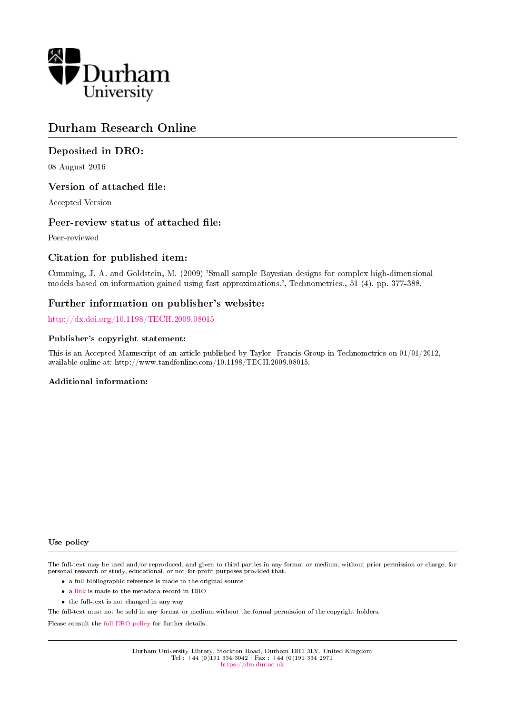

# Durham Research Online

# Deposited in DRO:

08 August 2016

# Version of attached file:

Accepted Version

# Peer-review status of attached file:

Peer-reviewed

# Citation for published item:

Cumming, J. A. and Goldstein, M. (2009) 'Small sample Bayesian designs for complex high-dimensional models based on information gained using fast approximations.', Technometrics., 51 (4). pp. 377-388.

# Further information on publisher's website:

<http://dx.doi.org/10.1198/TECH.2009.08015>

## Publisher's copyright statement:

This is an Accepted Manuscript of an article published by Taylor Francis Group in Technometrics on 01/01/2012, available online at: http://www.tandfonline.com/10.1198/TECH.2009.08015.

## Additional information:

#### Use policy

The full-text may be used and/or reproduced, and given to third parties in any format or medium, without prior permission or charge, for personal research or study, educational, or not-for-profit purposes provided that:

- a full bibliographic reference is made to the original source
- a [link](http://dro.dur.ac.uk/19469/) is made to the metadata record in DRO
- the full-text is not changed in any way

The full-text must not be sold in any format or medium without the formal permission of the copyright holders.

Please consult the [full DRO policy](https://dro.dur.ac.uk/policies/usepolicy.pdf) for further details.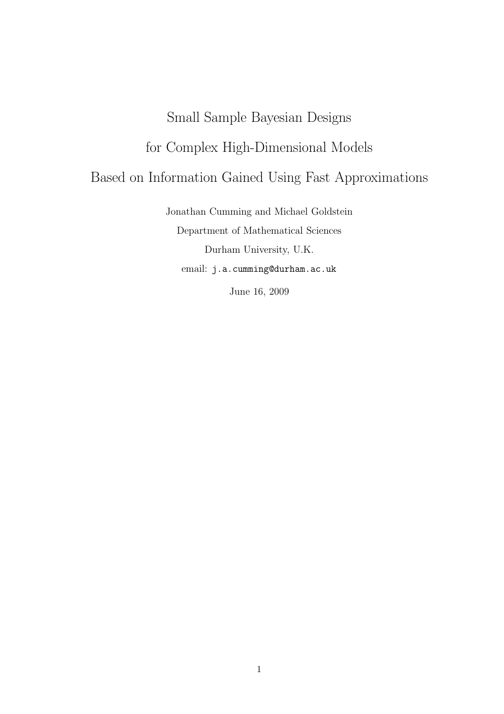# Small Sample Bayesian Designs for Complex High-Dimensional Models Based on Information Gained Using Fast Approximations

Jonathan Cumming and Michael Goldstein Department of Mathematical Sciences Durham University, U.K. email: j.a.cumming@durham.ac.uk

June 16, 2009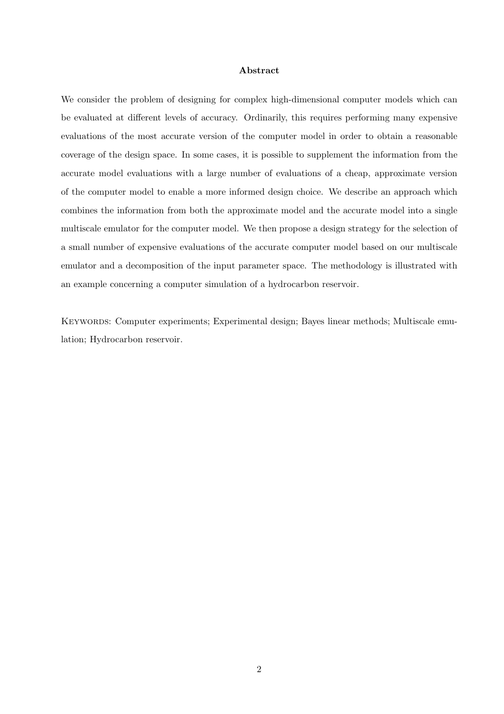#### Abstract

We consider the problem of designing for complex high-dimensional computer models which can be evaluated at different levels of accuracy. Ordinarily, this requires performing many expensive evaluations of the most accurate version of the computer model in order to obtain a reasonable coverage of the design space. In some cases, it is possible to supplement the information from the accurate model evaluations with a large number of evaluations of a cheap, approximate version of the computer model to enable a more informed design choice. We describe an approach which combines the information from both the approximate model and the accurate model into a single multiscale emulator for the computer model. We then propose a design strategy for the selection of a small number of expensive evaluations of the accurate computer model based on our multiscale emulator and a decomposition of the input parameter space. The methodology is illustrated with an example concerning a computer simulation of a hydrocarbon reservoir.

Keywords: Computer experiments; Experimental design; Bayes linear methods; Multiscale emulation; Hydrocarbon reservoir.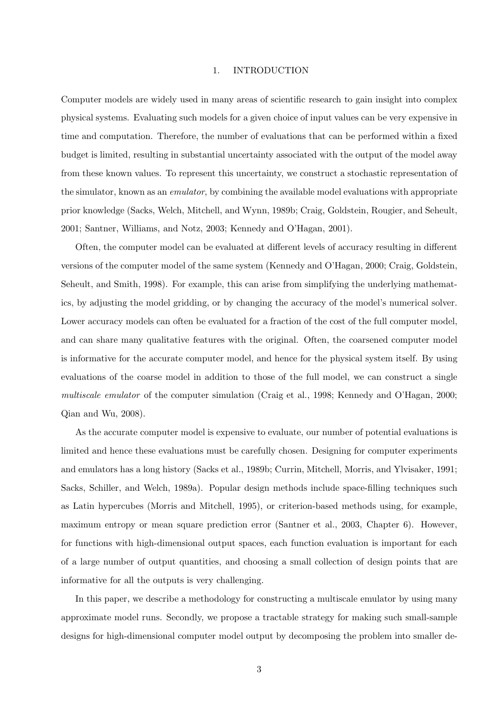#### 1. INTRODUCTION

Computer models are widely used in many areas of scientific research to gain insight into complex physical systems. Evaluating such models for a given choice of input values can be very expensive in time and computation. Therefore, the number of evaluations that can be performed within a fixed budget is limited, resulting in substantial uncertainty associated with the output of the model away from these known values. To represent this uncertainty, we construct a stochastic representation of the simulator, known as an emulator, by combining the available model evaluations with appropriate prior knowledge (Sacks, Welch, Mitchell, and Wynn, 1989b; Craig, Goldstein, Rougier, and Seheult, 2001; Santner, Williams, and Notz, 2003; Kennedy and O'Hagan, 2001).

Often, the computer model can be evaluated at different levels of accuracy resulting in different versions of the computer model of the same system (Kennedy and O'Hagan, 2000; Craig, Goldstein, Seheult, and Smith, 1998). For example, this can arise from simplifying the underlying mathematics, by adjusting the model gridding, or by changing the accuracy of the model's numerical solver. Lower accuracy models can often be evaluated for a fraction of the cost of the full computer model, and can share many qualitative features with the original. Often, the coarsened computer model is informative for the accurate computer model, and hence for the physical system itself. By using evaluations of the coarse model in addition to those of the full model, we can construct a single multiscale emulator of the computer simulation (Craig et al., 1998; Kennedy and O'Hagan, 2000; Qian and Wu, 2008).

As the accurate computer model is expensive to evaluate, our number of potential evaluations is limited and hence these evaluations must be carefully chosen. Designing for computer experiments and emulators has a long history (Sacks et al., 1989b; Currin, Mitchell, Morris, and Ylvisaker, 1991; Sacks, Schiller, and Welch, 1989a). Popular design methods include space-filling techniques such as Latin hypercubes (Morris and Mitchell, 1995), or criterion-based methods using, for example, maximum entropy or mean square prediction error (Santner et al., 2003, Chapter 6). However, for functions with high-dimensional output spaces, each function evaluation is important for each of a large number of output quantities, and choosing a small collection of design points that are informative for all the outputs is very challenging.

In this paper, we describe a methodology for constructing a multiscale emulator by using many approximate model runs. Secondly, we propose a tractable strategy for making such small-sample designs for high-dimensional computer model output by decomposing the problem into smaller de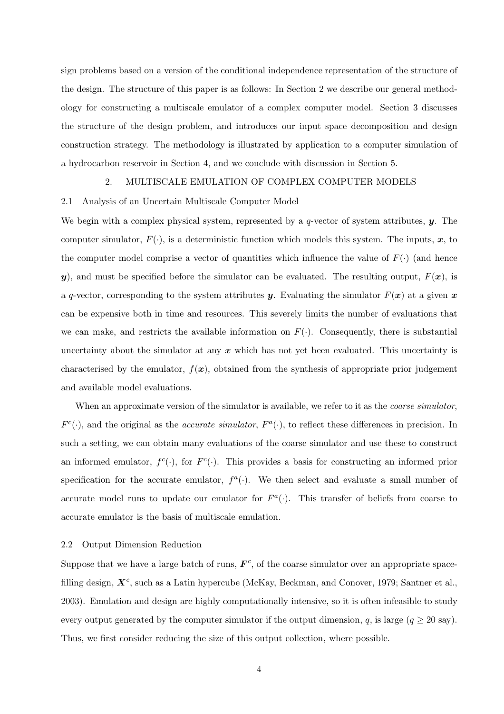sign problems based on a version of the conditional independence representation of the structure of the design. The structure of this paper is as follows: In Section 2 we describe our general methodology for constructing a multiscale emulator of a complex computer model. Section 3 discusses the structure of the design problem, and introduces our input space decomposition and design construction strategy. The methodology is illustrated by application to a computer simulation of a hydrocarbon reservoir in Section 4, and we conclude with discussion in Section 5.

## 2. MULTISCALE EMULATION OF COMPLEX COMPUTER MODELS

#### 2.1 Analysis of an Uncertain Multiscale Computer Model

We begin with a complex physical system, represented by a q-vector of system attributes,  $\mathbf{y}$ . The computer simulator,  $F(\cdot)$ , is a deterministic function which models this system. The inputs, x, to the computer model comprise a vector of quantities which influence the value of  $F(\cdot)$  (and hence y), and must be specified before the simulator can be evaluated. The resulting output,  $F(x)$ , is a q-vector, corresponding to the system attributes y. Evaluating the simulator  $F(x)$  at a given x can be expensive both in time and resources. This severely limits the number of evaluations that we can make, and restricts the available information on  $F(\cdot)$ . Consequently, there is substantial uncertainty about the simulator at any  $x$  which has not yet been evaluated. This uncertainty is characterised by the emulator,  $f(x)$ , obtained from the synthesis of appropriate prior judgement and available model evaluations.

When an approximate version of the simulator is available, we refer to it as the *coarse simulator*,  $F^c(\cdot)$ , and the original as the *accurate simulator*,  $F^a(\cdot)$ , to reflect these differences in precision. In such a setting, we can obtain many evaluations of the coarse simulator and use these to construct an informed emulator,  $f^c(\cdot)$ , for  $F^c(\cdot)$ . This provides a basis for constructing an informed prior specification for the accurate emulator,  $f^a(\cdot)$ . We then select and evaluate a small number of accurate model runs to update our emulator for  $F^a(\cdot)$ . This transfer of beliefs from coarse to accurate emulator is the basis of multiscale emulation.

#### 2.2 Output Dimension Reduction

Suppose that we have a large batch of runs,  $\mathbf{F}^c$ , of the coarse simulator over an appropriate spacefilling design,  $X^c$ , such as a Latin hypercube (McKay, Beckman, and Conover, 1979; Santner et al., 2003). Emulation and design are highly computationally intensive, so it is often infeasible to study every output generated by the computer simulator if the output dimension, q, is large  $(q \ge 20 \text{ say})$ . Thus, we first consider reducing the size of this output collection, where possible.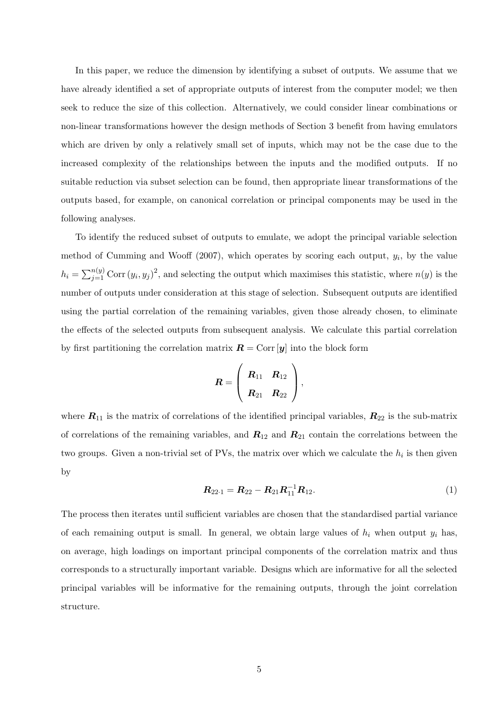In this paper, we reduce the dimension by identifying a subset of outputs. We assume that we have already identified a set of appropriate outputs of interest from the computer model; we then seek to reduce the size of this collection. Alternatively, we could consider linear combinations or non-linear transformations however the design methods of Section 3 benefit from having emulators which are driven by only a relatively small set of inputs, which may not be the case due to the increased complexity of the relationships between the inputs and the modified outputs. If no suitable reduction via subset selection can be found, then appropriate linear transformations of the outputs based, for example, on canonical correlation or principal components may be used in the following analyses.

To identify the reduced subset of outputs to emulate, we adopt the principal variable selection method of Cumming and Wooff  $(2007)$ , which operates by scoring each output,  $y_i$ , by the value  $h_i = \sum_{j=1}^{n(y)} \text{Corr}(y_i, y_j)^2$ , and selecting the output which maximises this statistic, where  $n(y)$  is the number of outputs under consideration at this stage of selection. Subsequent outputs are identified using the partial correlation of the remaining variables, given those already chosen, to eliminate the effects of the selected outputs from subsequent analysis. We calculate this partial correlation by first partitioning the correlation matrix  $\mathbf{R} = \text{Corr}[\mathbf{y}]$  into the block form

$$
\bm{R} = \left( \begin{array}{cc} \bm{R}_{11} & \bm{R}_{12} \\ & \\ \bm{R}_{21} & \bm{R}_{22} \end{array} \right),
$$

where  $R_{11}$  is the matrix of correlations of the identified principal variables,  $R_{22}$  is the sub-matrix of correlations of the remaining variables, and  $R_{12}$  and  $R_{21}$  contain the correlations between the two groups. Given a non-trivial set of PVs, the matrix over which we calculate the  $h_i$  is then given by

$$
R_{22\cdot 1} = R_{22} - R_{21}R_{11}^{-1}R_{12}.
$$
 (1)

The process then iterates until sufficient variables are chosen that the standardised partial variance of each remaining output is small. In general, we obtain large values of  $h_i$  when output  $y_i$  has, on average, high loadings on important principal components of the correlation matrix and thus corresponds to a structurally important variable. Designs which are informative for all the selected principal variables will be informative for the remaining outputs, through the joint correlation structure.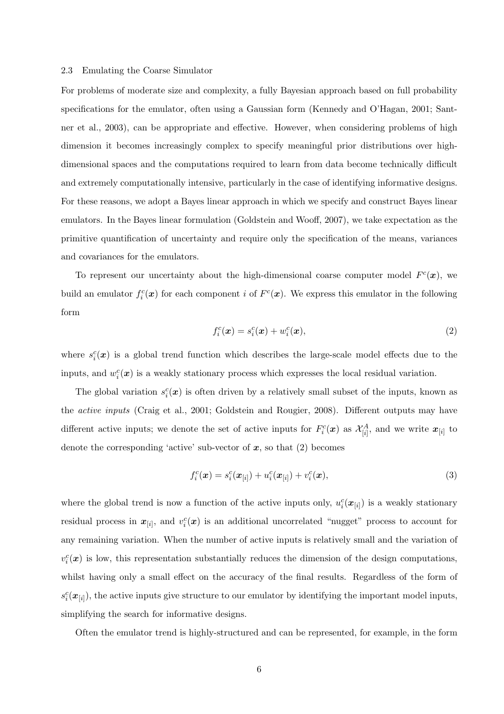#### 2.3 Emulating the Coarse Simulator

For problems of moderate size and complexity, a fully Bayesian approach based on full probability specifications for the emulator, often using a Gaussian form (Kennedy and O'Hagan, 2001; Santner et al., 2003), can be appropriate and effective. However, when considering problems of high dimension it becomes increasingly complex to specify meaningful prior distributions over highdimensional spaces and the computations required to learn from data become technically difficult and extremely computationally intensive, particularly in the case of identifying informative designs. For these reasons, we adopt a Bayes linear approach in which we specify and construct Bayes linear emulators. In the Bayes linear formulation (Goldstein and Wooff, 2007), we take expectation as the primitive quantification of uncertainty and require only the specification of the means, variances and covariances for the emulators.

To represent our uncertainty about the high-dimensional coarse computer model  $F^c(\mathbf{x})$ , we build an emulator  $f_i^c(\mathbf{x})$  for each component *i* of  $F^c(\mathbf{x})$ . We express this emulator in the following form

$$
f_i^c(\boldsymbol{x}) = s_i^c(\boldsymbol{x}) + w_i^c(\boldsymbol{x}),\tag{2}
$$

where  $s_i^c(x)$  is a global trend function which describes the large-scale model effects due to the inputs, and  $w_i^c(\boldsymbol{x})$  is a weakly stationary process which expresses the local residual variation.

The global variation  $s_i^c(\boldsymbol{x})$  is often driven by a relatively small subset of the inputs, known as the active inputs (Craig et al., 2001; Goldstein and Rougier, 2008). Different outputs may have different active inputs; we denote the set of active inputs for  $F_i^c(\bm{x})$  as  $\mathcal{X}_{[i]}^A$ , and we write  $\bm{x}_{[i]}$  to denote the corresponding 'active' sub-vector of  $x$ , so that  $(2)$  becomes

$$
f_i^c(\bm{x}) = s_i^c(\bm{x}_{[i]}) + u_i^c(\bm{x}_{[i]}) + v_i^c(\bm{x}),
$$
\n(3)

where the global trend is now a function of the active inputs only,  $u_i^c(\bm{x}_{[i]})$  is a weakly stationary residual process in  $x_{[i]}$ , and  $v_i^c(x)$  is an additional uncorrelated "nugget" process to account for any remaining variation. When the number of active inputs is relatively small and the variation of  $v_i^c(x)$  is low, this representation substantially reduces the dimension of the design computations, whilst having only a small effect on the accuracy of the final results. Regardless of the form of  $s_i^c(\bm{x}_{[i]})$ , the active inputs give structure to our emulator by identifying the important model inputs, simplifying the search for informative designs.

Often the emulator trend is highly-structured and can be represented, for example, in the form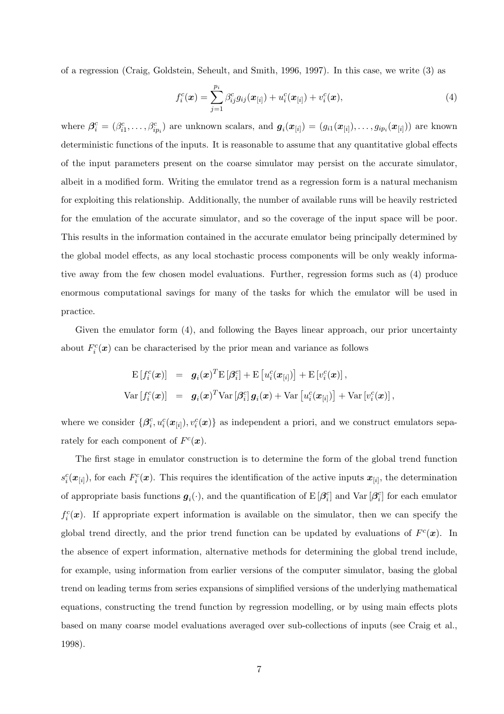of a regression (Craig, Goldstein, Seheult, and Smith, 1996, 1997). In this case, we write (3) as

$$
f_i^c(\boldsymbol{x}) = \sum_{j=1}^{p_i} \beta_{ij}^c g_{ij}(\boldsymbol{x}_{[i]}) + u_i^c(\boldsymbol{x}_{[i]}) + v_i^c(\boldsymbol{x}), \qquad (4)
$$

where  $\beta_i^c = (\beta_{i1}^c, \ldots, \beta_{ip_i}^c)$  are unknown scalars, and  $g_i(x_{[i]}) = (g_{i1}(x_{[i]}), \ldots, g_{ip_i}(x_{[i]}))$  are known deterministic functions of the inputs. It is reasonable to assume that any quantitative global effects of the input parameters present on the coarse simulator may persist on the accurate simulator, albeit in a modified form. Writing the emulator trend as a regression form is a natural mechanism for exploiting this relationship. Additionally, the number of available runs will be heavily restricted for the emulation of the accurate simulator, and so the coverage of the input space will be poor. This results in the information contained in the accurate emulator being principally determined by the global model effects, as any local stochastic process components will be only weakly informative away from the few chosen model evaluations. Further, regression forms such as (4) produce enormous computational savings for many of the tasks for which the emulator will be used in practice.

Given the emulator form (4), and following the Bayes linear approach, our prior uncertainty about  $F_i^c(\boldsymbol{x})$  can be characterised by the prior mean and variance as follows

$$
\begin{array}{rcl} \mathrm{E}\left[f_i^c(\boldsymbol{x})\right] & = & \boldsymbol{g}_i(\boldsymbol{x})^T\mathrm{E}\left[\boldsymbol{\beta}_i^c\right] + \mathrm{E}\left[u_i^c(\boldsymbol{x}_{[i]})\right] + \mathrm{E}\left[v_i^c(\boldsymbol{x})\right],\\[0.5em] \mathrm{Var}\left[f_i^c(\boldsymbol{x})\right] & = & \boldsymbol{g}_i(\boldsymbol{x})^T\mathrm{Var}\left[\boldsymbol{\beta}_i^c\right]\boldsymbol{g}_i(\boldsymbol{x}) + \mathrm{Var}\left[u_i^c(\boldsymbol{x}_{[i]})\right] + \mathrm{Var}\left[v_i^c(\boldsymbol{x})\right], \end{array}
$$

where we consider  $\{\beta_i^c, u_i^c(\bm{x}_{[i]}), v_i^c(\bm{x})\}$  as independent a priori, and we construct emulators separately for each component of  $F^c(\boldsymbol{x})$ .

The first stage in emulator construction is to determine the form of the global trend function  $s_i^c(\bm{x}_{[i]})$ , for each  $F_i^c(\bm{x})$ . This requires the identification of the active inputs  $\bm{x}_{[i]}$ , the determination of appropriate basis functions  $g_i(\cdot)$ , and the quantification of E  $[\beta_i^c]$  and Var  $[\beta_i^c]$  for each emulator  $f_i^c(\boldsymbol{x})$ . If appropriate expert information is available on the simulator, then we can specify the global trend directly, and the prior trend function can be updated by evaluations of  $F^c(\mathbf{x})$ . In the absence of expert information, alternative methods for determining the global trend include, for example, using information from earlier versions of the computer simulator, basing the global trend on leading terms from series expansions of simplified versions of the underlying mathematical equations, constructing the trend function by regression modelling, or by using main effects plots based on many coarse model evaluations averaged over sub-collections of inputs (see Craig et al., 1998).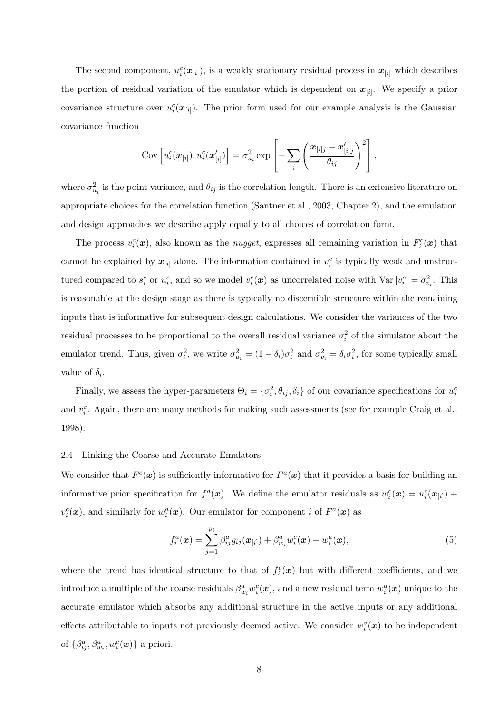The second component,  $u_i^c(\bm{x}_{[i]})$ , is a weakly stationary residual process in  $\bm{x}_{[i]}$  which describes the portion of residual variation of the emulator which is dependent on  $x_{[i]}$ . We specify a prior covariance structure over  $u_i^c(\boldsymbol{x}_{[i]})$ . The prior form used for our example analysis is the Gaussian covariance function

$$
Cov\left[u_i^c(\boldsymbol{x}_{[i]}), u_i^c(\boldsymbol{x}_{[i]}')\right] = \sigma_{u_i}^2 \exp\left[-\sum_j \left(\frac{\boldsymbol{x}_{[i]j}-\boldsymbol{x}_{[i]j}'}{\theta_{ij}}\right)^2\right],
$$

where  $\sigma_{u_i}^2$  is the point variance, and  $\theta_{ij}$  is the correlation length. There is an extensive literature on appropriate choices for the correlation function (Santner et al., 2003, Chapter 2), and the emulation and design approaches we describe apply equally to all choices of correlation form.

The process  $v_i^c(x)$ , also known as the *nugget*, expresses all remaining variation in  $F_i^c(x)$  that cannot be explained by  $x_{[i]}$  alone. The information contained in  $v_i^c$  is typically weak and unstructured compared to  $s_i^c$  or  $u_i^c$ , and so we model  $v_i^c(\boldsymbol{x})$  as uncorrelated noise with  $\text{Var}[v_i^c] = \sigma_{v_i}^2$ . This is reasonable at the design stage as there is typically no discernible structure within the remaining inputs that is informative for subsequent design calculations. We consider the variances of the two residual processes to be proportional to the overall residual variance  $\sigma_i^2$  of the simulator about the emulator trend. Thus, given  $\sigma_i^2$ , we write  $\sigma_{u_i}^2 = (1 - \delta_i)\sigma_i^2$  and  $\sigma_{v_i}^2 = \delta_i\sigma_i^2$ , for some typically small value of  $\delta_i$ .

Finally, we assess the hyper-parameters  $\Theta_i = \{\sigma_i^2, \theta_{ij}, \delta_i\}$  of our covariance specifications for  $u_i^c$ and  $v_i^c$ . Again, there are many methods for making such assessments (see for example Craig et al., 1998).

## 2.4 Linking the Coarse and Accurate Emulators

We consider that  $F^c(\mathbf{x})$  is sufficiently informative for  $F^a(\mathbf{x})$  that it provides a basis for building an informative prior specification for  $f^a(x)$ . We define the emulator residuals as  $w_i^c(x) = u_i^c(x_{[i]}) +$  $v_i^c(\boldsymbol{x})$ , and similarly for  $w_i^a(\boldsymbol{x})$ . Our emulator for component *i* of  $F^a(\boldsymbol{x})$  as

$$
f_i^a(\bm{x}) = \sum_{j=1}^{p_i} \beta_{ij}^a g_{ij}(\bm{x}_{[i]}) + \beta_{w_i}^a w_i^c(\bm{x}) + w_i^a(\bm{x}), \qquad (5)
$$

where the trend has identical structure to that of  $f_i^c(x)$  but with different coefficients, and we introduce a multiple of the coarse residuals  $\beta_{w_i}^a w_i^c(\bm{x})$ , and a new residual term  $w_i^a(\bm{x})$  unique to the accurate emulator which absorbs any additional structure in the active inputs or any additional effects attributable to inputs not previously deemed active. We consider  $w_i^a(\boldsymbol{x})$  to be independent of  $\{\beta_{ij}^a, \beta_{w_i}^a, w_i^c(\boldsymbol{x})\}$  a priori.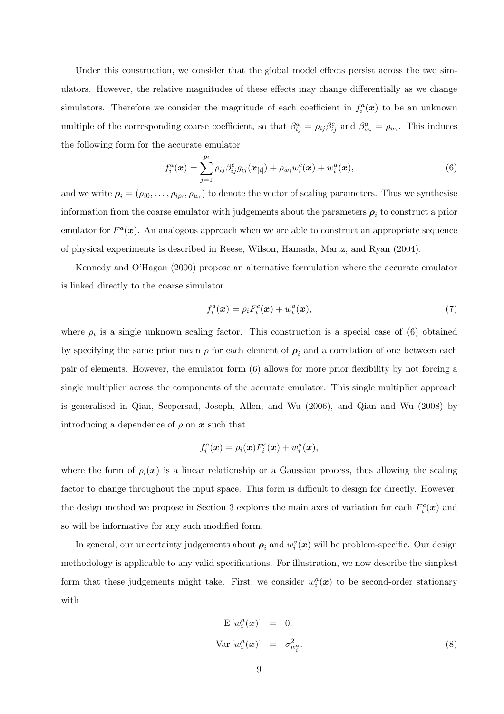Under this construction, we consider that the global model effects persist across the two simulators. However, the relative magnitudes of these effects may change differentially as we change simulators. Therefore we consider the magnitude of each coefficient in  $f_i^a(\boldsymbol{x})$  to be an unknown multiple of the corresponding coarse coefficient, so that  $\beta_{ij}^a = \rho_{ij}\beta_{ij}^c$  and  $\beta_{w_i}^a = \rho_{w_i}$ . This induces the following form for the accurate emulator

$$
f_i^a(\bm{x}) = \sum_{j=1}^{p_i} \rho_{ij} \beta_{ij}^c g_{ij}(\bm{x}_{[i]}) + \rho_{w_i} w_i^c(\bm{x}) + w_i^a(\bm{x}), \qquad (6)
$$

and we write  $\rho_i = (\rho_{i0}, \dots, \rho_{ip_i}, \rho_{w_i})$  to denote the vector of scaling parameters. Thus we synthesise information from the coarse emulator with judgements about the parameters  $\rho_i$  to construct a prior emulator for  $F^a(x)$ . An analogous approach when we are able to construct an appropriate sequence of physical experiments is described in Reese, Wilson, Hamada, Martz, and Ryan (2004).

Kennedy and O'Hagan (2000) propose an alternative formulation where the accurate emulator is linked directly to the coarse simulator

$$
f_i^a(\boldsymbol{x}) = \rho_i F_i^c(\boldsymbol{x}) + w_i^a(\boldsymbol{x}), \qquad (7)
$$

where  $\rho_i$  is a single unknown scaling factor. This construction is a special case of (6) obtained by specifying the same prior mean  $\rho$  for each element of  $\rho_i$  and a correlation of one between each pair of elements. However, the emulator form (6) allows for more prior flexibility by not forcing a single multiplier across the components of the accurate emulator. This single multiplier approach is generalised in Qian, Seepersad, Joseph, Allen, and Wu (2006), and Qian and Wu (2008) by introducing a dependence of  $\rho$  on  $\boldsymbol{x}$  such that

$$
f_i^a(\boldsymbol{x}) = \rho_i(\boldsymbol{x}) F_i^c(\boldsymbol{x}) + w_i^a(\boldsymbol{x}),
$$

where the form of  $\rho_i(x)$  is a linear relationship or a Gaussian process, thus allowing the scaling factor to change throughout the input space. This form is difficult to design for directly. However, the design method we propose in Section 3 explores the main axes of variation for each  $F_i^c(\boldsymbol{x})$  and so will be informative for any such modified form.

In general, our uncertainty judgements about  $\rho_i$  and  $w_i^a(x)$  will be problem-specific. Our design methodology is applicable to any valid specifications. For illustration, we now describe the simplest form that these judgements might take. First, we consider  $w_i^a(x)$  to be second-order stationary with

$$
\mathbf{E}\left[w_i^a(\boldsymbol{x})\right] = 0,
$$
  
\n
$$
\text{Var}\left[w_i^a(\boldsymbol{x})\right] = \sigma_{w_i^a}^2.
$$
\n(8)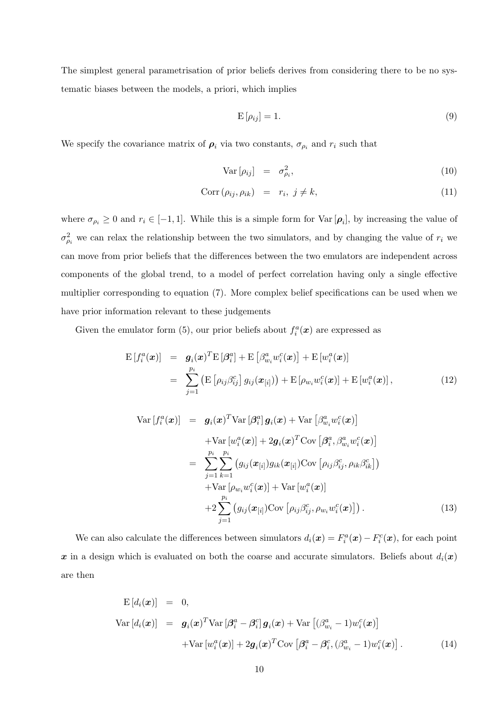The simplest general parametrisation of prior beliefs derives from considering there to be no systematic biases between the models, a priori, which implies

$$
E\left[\rho_{ij}\right] = 1.\tag{9}
$$

We specify the covariance matrix of  $\rho_i$  via two constants,  $\sigma_{\rho_i}$  and  $r_i$  such that

$$
Var\left[\rho_{ij}\right] = \sigma_{\rho_i}^2,\tag{10}
$$

$$
Corr\left(\rho_{ij}, \rho_{ik}\right) = r_i, \ j \neq k,
$$
\n<sup>(11)</sup>

where  $\sigma_{\rho_i} \geq 0$  and  $r_i \in [-1, 1]$ . While this is a simple form for  $\text{Var}[\rho_i]$ , by increasing the value of  $\sigma_{\rho_i}^2$  we can relax the relationship between the two simulators, and by changing the value of  $r_i$  we can move from prior beliefs that the differences between the two emulators are independent across components of the global trend, to a model of perfect correlation having only a single effective multiplier corresponding to equation (7). More complex belief specifications can be used when we have prior information relevant to these judgements

Given the emulator form (5), our prior beliefs about  $f_i^a(\boldsymbol{x})$  are expressed as

$$
\begin{split} \mathcal{E}\left[f_i^a(\boldsymbol{x})\right] &= \boldsymbol{g}_i(\boldsymbol{x})^T \mathcal{E}\left[\beta_{ij}^a\right] + \mathcal{E}\left[\beta_{w_i}^a w_i^c(\boldsymbol{x})\right] + \mathcal{E}\left[w_i^a(\boldsymbol{x})\right] \\ &= \sum_{j=1}^{p_i} \left(\mathcal{E}\left[\rho_{ij}\beta_{ij}^c\right]g_{ij}(\boldsymbol{x}_{[i]})\right) + \mathcal{E}\left[\rho_{w_i}w_i^c(\boldsymbol{x})\right] + \mathcal{E}\left[w_i^a(\boldsymbol{x})\right], \end{split} \tag{12}
$$

Var 
$$
[f_i^a(\boldsymbol{x})]
$$
 =  $\boldsymbol{g}_i(\boldsymbol{x})^T \text{Var} [\beta_i^a] \boldsymbol{g}_i(\boldsymbol{x}) + \text{Var} [\beta_{w_i}^a w_i^c(\boldsymbol{x})]$   
+ Var  $[w_i^a(\boldsymbol{x})] + 2\boldsymbol{g}_i(\boldsymbol{x})^T \text{Cov} [\beta_i^a, \beta_{w_i}^a w_i^c(\boldsymbol{x})]$   
=  $\sum_{j=1}^{p_i} \sum_{k=1}^{p_i} (g_{ij}(\boldsymbol{x}_{[i]}) g_{ik}(\boldsymbol{x}_{[i]}) \text{Cov} [\rho_{ij} \beta_{ij}^c, \rho_{ik} \beta_{ik}^c])$   
+ Var  $[\rho_{w_i} w_i^c(\boldsymbol{x})] + \text{Var} [w_i^a(\boldsymbol{x})]$   
+  $2 \sum_{j=1}^{p_i} (g_{ij}(\boldsymbol{x}_{[i]}) \text{Cov} [\rho_{ij} \beta_{ij}^c, \rho_{w_i} w_i^c(\boldsymbol{x})])$ . (13)

We can also calculate the differences between simulators  $d_i(\mathbf{x}) = F_i^a(\mathbf{x}) - F_i^c(\mathbf{x})$ , for each point x in a design which is evaluated on both the coarse and accurate simulators. Beliefs about  $d_i(x)$ are then

$$
\begin{aligned}\n\mathbf{E}\left[d_i(\boldsymbol{x})\right] &= 0, \\
\text{Var}\left[d_i(\boldsymbol{x})\right] &= \boldsymbol{g}_i(\boldsymbol{x})^T \text{Var}\left[\boldsymbol{\beta}_i^a - \boldsymbol{\beta}_i^c\right] \boldsymbol{g}_i(\boldsymbol{x}) + \text{Var}\left[(\beta_{w_i}^a - 1) w_i^c(\boldsymbol{x})\right] \\
&\quad + \text{Var}\left[w_i^a(\boldsymbol{x})\right] + 2\boldsymbol{g}_i(\boldsymbol{x})^T \text{Cov}\left[\boldsymbol{\beta}_i^a - \boldsymbol{\beta}_i^c, (\beta_{w_i}^a - 1) w_i^c(\boldsymbol{x})\right].\n\end{aligned} \tag{14}
$$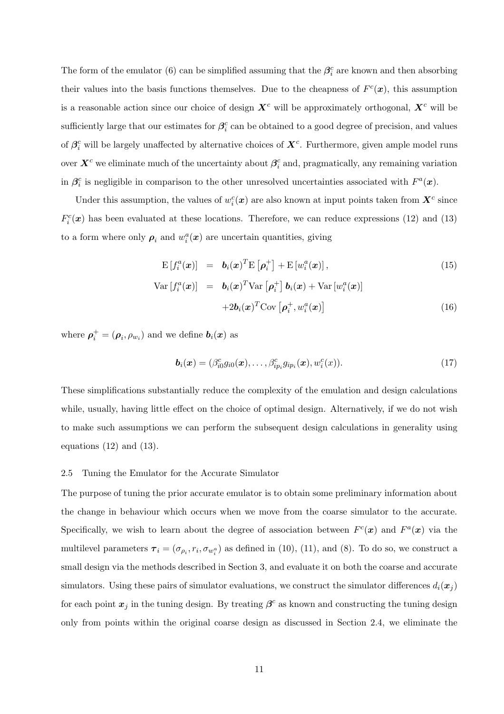The form of the emulator (6) can be simplified assuming that the  $\beta_i^c$  are known and then absorbing their values into the basis functions themselves. Due to the cheapness of  $F^c(\mathbf{x})$ , this assumption is a reasonable action since our choice of design  $X^c$  will be approximately orthogonal,  $X^c$  will be sufficiently large that our estimates for  $\beta_i^c$  can be obtained to a good degree of precision, and values of  $\beta_i^c$  will be largely unaffected by alternative choices of  $\bm{X}^c$ . Furthermore, given ample model runs over  $\bm{X}^c$  we eliminate much of the uncertainty about  $\bm{\beta}^c_i$  and, pragmatically, any remaining variation in  $\beta_i^c$  is negligible in comparison to the other unresolved uncertainties associated with  $F^a(\mathbf{x})$ .

Under this assumption, the values of  $w_i^c(\boldsymbol{x})$  are also known at input points taken from  $\boldsymbol{X}^c$  since  $F_i^c(\boldsymbol{x})$  has been evaluated at these locations. Therefore, we can reduce expressions (12) and (13) to a form where only  $\rho_i$  and  $w_i^a(x)$  are uncertain quantities, giving

$$
\mathrm{E}\left[f_i^a(\boldsymbol{x})\right] = \boldsymbol{b}_i(\boldsymbol{x})^T \mathrm{E}\left[\boldsymbol{\rho}_i^+\right] + \mathrm{E}\left[w_i^a(\boldsymbol{x})\right],\tag{15}
$$

$$
\text{Var}\left[f_i^a(\boldsymbol{x})\right] = \boldsymbol{b}_i(\boldsymbol{x})^T \text{Var}\left[\boldsymbol{\rho}_i^+\right] \boldsymbol{b}_i(\boldsymbol{x}) + \text{Var}\left[w_i^a(\boldsymbol{x})\right] \\
+ 2 \boldsymbol{b}_i(\boldsymbol{x})^T \text{Cov}\left[\boldsymbol{\rho}_i^+, w_i^a(\boldsymbol{x})\right] \tag{16}
$$

where  $\boldsymbol{\rho}_i^+ = (\boldsymbol{\rho}_i, \rho_{w_i})$  and we define  $\boldsymbol{b}_i(\boldsymbol{x})$  as

$$
\boldsymbol{b}_i(\boldsymbol{x}) = (\beta_{i0}^c g_{i0}(\boldsymbol{x}), \dots, \beta_{ip_i}^c g_{ip_i}(\boldsymbol{x}), w_i^c(\boldsymbol{x})).
$$
\n(17)

These simplifications substantially reduce the complexity of the emulation and design calculations while, usually, having little effect on the choice of optimal design. Alternatively, if we do not wish to make such assumptions we can perform the subsequent design calculations in generality using equations  $(12)$  and  $(13)$ .

#### 2.5 Tuning the Emulator for the Accurate Simulator

The purpose of tuning the prior accurate emulator is to obtain some preliminary information about the change in behaviour which occurs when we move from the coarse simulator to the accurate. Specifically, we wish to learn about the degree of association between  $F^c(\boldsymbol{x})$  and  $F^a(\boldsymbol{x})$  via the multilevel parameters  $\tau_i = (\sigma_{\rho_i}, r_i, \sigma_{w_i^a})$  as defined in (10), (11), and (8). To do so, we construct a small design via the methods described in Section 3, and evaluate it on both the coarse and accurate simulators. Using these pairs of simulator evaluations, we construct the simulator differences  $d_i(\boldsymbol{x}_i)$ for each point  $x_j$  in the tuning design. By treating  $\beta^c$  as known and constructing the tuning design only from points within the original coarse design as discussed in Section 2.4, we eliminate the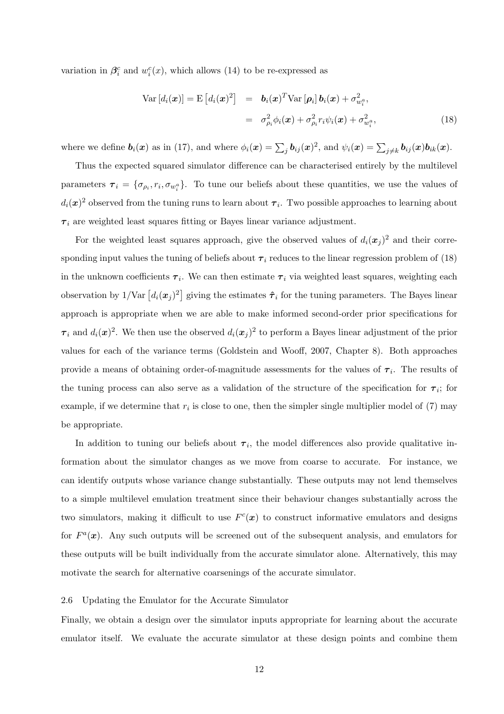variation in  $\beta_i^c$  and  $w_i^c(x)$ , which allows (14) to be re-expressed as

$$
\text{Var}\left[d_i(\boldsymbol{x})\right] = \text{E}\left[d_i(\boldsymbol{x})^2\right] = \boldsymbol{b}_i(\boldsymbol{x})^T \text{Var}\left[\boldsymbol{\rho}_i\right] \boldsymbol{b}_i(\boldsymbol{x}) + \sigma_{w_i}^2,
$$
\n
$$
= \sigma_{\rho_i}^2 \phi_i(\boldsymbol{x}) + \sigma_{\rho_i}^2 r_i \psi_i(\boldsymbol{x}) + \sigma_{w_i}^2,
$$
\n(18)

where we define  $\mathbf{b}_i(\boldsymbol{x})$  as in (17), and where  $\phi_i(\boldsymbol{x}) = \sum_j \mathbf{b}_{ij}(\boldsymbol{x})^2$ , and  $\psi_i(\boldsymbol{x}) = \sum_{j \neq k} \mathbf{b}_{ij}(\boldsymbol{x})\mathbf{b}_{ik}(\boldsymbol{x})$ .

Thus the expected squared simulator difference can be characterised entirely by the multilevel parameters  $\tau_i = \{\sigma_{\rho_i}, r_i, \sigma_{w_i^a}\}.$  To tune our beliefs about these quantities, we use the values of  $d_i(\boldsymbol{x})^2$  observed from the tuning runs to learn about  $\boldsymbol{\tau}_i$ . Two possible approaches to learning about  $\tau_i$  are weighted least squares fitting or Bayes linear variance adjustment.

For the weighted least squares approach, give the observed values of  $d_i(\boldsymbol{x}_j)^2$  and their corresponding input values the tuning of beliefs about  $\tau_i$  reduces to the linear regression problem of (18) in the unknown coefficients  $\tau_i$ . We can then estimate  $\tau_i$  via weighted least squares, weighting each observation by  $1/\text{Var} [d_i(\bm{x}_j)^2]$  giving the estimates  $\hat{\tau}_i$  for the tuning parameters. The Bayes linear approach is appropriate when we are able to make informed second-order prior specifications for  $\tau_i$  and  $d_i(\bm{x})^2$ . We then use the observed  $d_i(\bm{x}_j)^2$  to perform a Bayes linear adjustment of the prior values for each of the variance terms (Goldstein and Wooff, 2007, Chapter 8). Both approaches provide a means of obtaining order-of-magnitude assessments for the values of  $\tau_i$ . The results of the tuning process can also serve as a validation of the structure of the specification for  $\tau_i$ ; for example, if we determine that  $r_i$  is close to one, then the simpler single multiplier model of  $(7)$  may be appropriate.

In addition to tuning our beliefs about  $\tau_i$ , the model differences also provide qualitative information about the simulator changes as we move from coarse to accurate. For instance, we can identify outputs whose variance change substantially. These outputs may not lend themselves to a simple multilevel emulation treatment since their behaviour changes substantially across the two simulators, making it difficult to use  $F<sup>c</sup>(x)$  to construct informative emulators and designs for  $F^a(x)$ . Any such outputs will be screened out of the subsequent analysis, and emulators for these outputs will be built individually from the accurate simulator alone. Alternatively, this may motivate the search for alternative coarsenings of the accurate simulator.

#### 2.6 Updating the Emulator for the Accurate Simulator

Finally, we obtain a design over the simulator inputs appropriate for learning about the accurate emulator itself. We evaluate the accurate simulator at these design points and combine them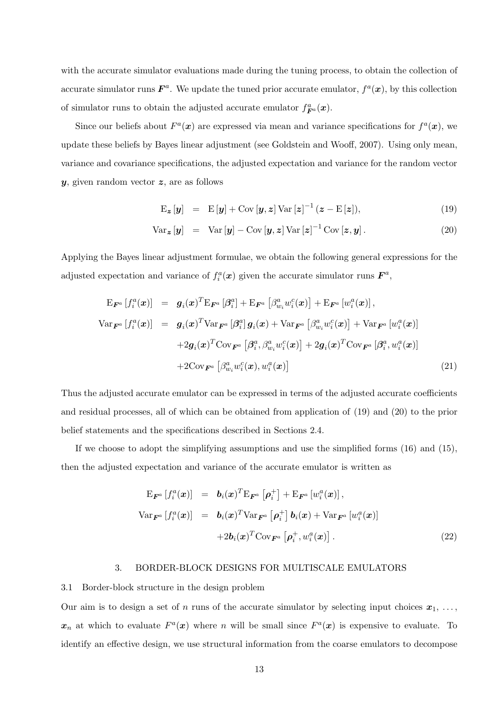with the accurate simulator evaluations made during the tuning process, to obtain the collection of accurate simulator runs  $\mathbf{F}^a$ . We update the tuned prior accurate emulator,  $f^a(\mathbf{x})$ , by this collection of simulator runs to obtain the adjusted accurate emulator  $f_{\vec{F}^a}^a(\boldsymbol{x})$ .

Since our beliefs about  $F^a(x)$  are expressed via mean and variance specifications for  $f^a(x)$ , we update these beliefs by Bayes linear adjustment (see Goldstein and Wooff, 2007). Using only mean, variance and covariance specifications, the adjusted expectation and variance for the random vector  $y$ , given random vector  $z$ , are as follows

$$
\mathbf{E}_{\mathbf{z}}\left[\mathbf{y}\right] = \mathbf{E}\left[\mathbf{y}\right] + \mathbf{Cov}\left[\mathbf{y}, \mathbf{z}\right] \mathbf{Var}\left[\mathbf{z}\right]^{-1} (\mathbf{z} - \mathbf{E}\left[\mathbf{z}\right]),\tag{19}
$$

$$
\text{Var}_{\boldsymbol{z}}\left[\boldsymbol{y}\right] = \text{Var}\left[\boldsymbol{y}\right] - \text{Cov}\left[\boldsymbol{y}, \boldsymbol{z}\right] \text{Var}\left[\boldsymbol{z}\right]^{-1} \text{Cov}\left[\boldsymbol{z}, \boldsymbol{y}\right]. \tag{20}
$$

Applying the Bayes linear adjustment formulae, we obtain the following general expressions for the adjusted expectation and variance of  $f_i^a(x)$  given the accurate simulator runs  $\mathbf{F}^a$ ,

$$
\begin{array}{rcl}\n\mathbf{E}_{\boldsymbol{F}^{a}}\left[f_{i}^{a}(\boldsymbol{x})\right] & = & \boldsymbol{g}_{i}(\boldsymbol{x})^{T}\mathbf{E}_{\boldsymbol{F}^{a}}\left[\beta_{i}^{a}\right] + \mathbf{E}_{\boldsymbol{F}^{a}}\left[\beta_{w_{i}}^{a}w_{i}^{c}(\boldsymbol{x})\right] + \mathbf{E}_{\boldsymbol{F}^{a}}\left[w_{i}^{a}(\boldsymbol{x})\right], \\
\text{Var}_{\boldsymbol{F}^{a}}\left[f_{i}^{a}(\boldsymbol{x})\right] & = & \boldsymbol{g}_{i}(\boldsymbol{x})^{T}\text{Var}_{\boldsymbol{F}^{a}}\left[\beta_{i}^{a}\right]\boldsymbol{g}_{i}(\boldsymbol{x}) + \text{Var}_{\boldsymbol{F}^{a}}\left[\beta_{w_{i}}^{a}w_{i}^{c}(\boldsymbol{x})\right] + \text{Var}_{\boldsymbol{F}^{a}}\left[w_{i}^{a}(\boldsymbol{x})\right] \\
& & + 2\boldsymbol{g}_{i}(\boldsymbol{x})^{T}\text{Cov}_{\boldsymbol{F}^{a}}\left[\beta_{i}^{a}, \beta_{w_{i}}^{a}w_{i}^{c}(\boldsymbol{x})\right] + 2\boldsymbol{g}_{i}(\boldsymbol{x})^{T}\text{Cov}_{\boldsymbol{F}^{a}}\left[\beta_{i}^{a}, w_{i}^{a}(\boldsymbol{x})\right] \\
& & + 2\text{Cov}_{\boldsymbol{F}^{a}}\left[\beta_{w_{i}}^{a}w_{i}^{c}(\boldsymbol{x}), w_{i}^{a}(\boldsymbol{x})\right]\n\end{array} \tag{21}
$$

Thus the adjusted accurate emulator can be expressed in terms of the adjusted accurate coefficients and residual processes, all of which can be obtained from application of (19) and (20) to the prior belief statements and the specifications described in Sections 2.4.

If we choose to adopt the simplifying assumptions and use the simplified forms  $(16)$  and  $(15)$ , then the adjusted expectation and variance of the accurate emulator is written as

$$
\begin{array}{rcl}\n\mathbf{E}_{\boldsymbol{F}^{a}}\left[f_{i}^{a}(\boldsymbol{x})\right] & = & \boldsymbol{b}_{i}(\boldsymbol{x})^{T}\mathbf{E}_{\boldsymbol{F}^{a}}\left[\boldsymbol{\rho}_{i}^{+}\right] + \mathbf{E}_{\boldsymbol{F}^{a}}\left[w_{i}^{a}(\boldsymbol{x})\right], \\
\text{Var}_{\boldsymbol{F}^{a}}\left[f_{i}^{a}(\boldsymbol{x})\right] & = & \boldsymbol{b}_{i}(\boldsymbol{x})^{T}\text{Var}_{\boldsymbol{F}^{a}}\left[\boldsymbol{\rho}_{i}^{+}\right]\boldsymbol{b}_{i}(\boldsymbol{x}) + \text{Var}_{\boldsymbol{F}^{a}}\left[w_{i}^{a}(\boldsymbol{x})\right] \\
& & + 2\boldsymbol{b}_{i}(\boldsymbol{x})^{T}\text{Cov}_{\boldsymbol{F}^{a}}\left[\boldsymbol{\rho}_{i}^{+}, w_{i}^{a}(\boldsymbol{x})\right].\n\end{array} \tag{22}
$$

# 3. BORDER-BLOCK DESIGNS FOR MULTISCALE EMULATORS

#### 3.1 Border-block structure in the design problem

Our aim is to design a set of n runs of the accurate simulator by selecting input choices  $x_1, \ldots,$  $x_n$  at which to evaluate  $F^a(x)$  where n will be small since  $F^a(x)$  is expensive to evaluate. To identify an effective design, we use structural information from the coarse emulators to decompose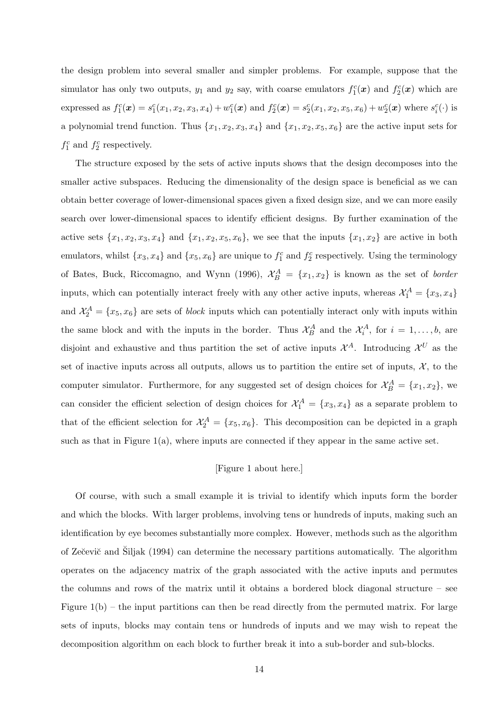the design problem into several smaller and simpler problems. For example, suppose that the simulator has only two outputs,  $y_1$  and  $y_2$  say, with coarse emulators  $f_1^c(x)$  and  $f_2^c(x)$  which are expressed as  $f_1^c(x) = s_1^c(x_1, x_2, x_3, x_4) + w_1^c(x)$  and  $f_2^c(x) = s_2^c(x_1, x_2, x_5, x_6) + w_2^c(x)$  where  $s_i^c(\cdot)$  is a polynomial trend function. Thus  $\{x_1, x_2, x_3, x_4\}$  and  $\{x_1, x_2, x_5, x_6\}$  are the active input sets for  $f_1^c$  and  $f_2^c$  respectively.

The structure exposed by the sets of active inputs shows that the design decomposes into the smaller active subspaces. Reducing the dimensionality of the design space is beneficial as we can obtain better coverage of lower-dimensional spaces given a fixed design size, and we can more easily search over lower-dimensional spaces to identify efficient designs. By further examination of the active sets  $\{x_1,x_2,x_3,x_4\}$  and  $\{x_1,x_2,x_5,x_6\}$ , we see that the inputs  $\{x_1,x_2\}$  are active in both emulators, whilst  $\{x_3, x_4\}$  and  $\{x_5, x_6\}$  are unique to  $f_1^c$  and  $f_2^c$  respectively. Using the terminology of Bates, Buck, Riccomagno, and Wynn (1996),  $\mathcal{X}_{B}^{A} = \{x_1, x_2\}$  is known as the set of *border* inputs, which can potentially interact freely with any other active inputs, whereas  $\mathcal{X}_1^A = \{x_3, x_4\}$ and  $\mathcal{X}_2^A = \{x_5, x_6\}$  are sets of *block* inputs which can potentially interact only with inputs within the same block and with the inputs in the border. Thus  $\mathcal{X}_{B}^{A}$  and the  $\mathcal{X}_{i}^{A}$ , for  $i = 1, \ldots, b$ , are disjoint and exhaustive and thus partition the set of active inputs  $\mathcal{X}^A$ . Introducing  $\mathcal{X}^U$  as the set of inactive inputs across all outputs, allows us to partition the entire set of inputs,  $\mathcal{X}$ , to the computer simulator. Furthermore, for any suggested set of design choices for  $\mathcal{X}_{B}^{A} = \{x_1, x_2\}$ , we can consider the efficient selection of design choices for  $\mathcal{X}_1^A = \{x_3, x_4\}$  as a separate problem to that of the efficient selection for  $\mathcal{X}_2^A = \{x_5, x_6\}$ . This decomposition can be depicted in a graph such as that in Figure  $1(a)$ , where inputs are connected if they appear in the same active set.

# [Figure 1 about here.]

Of course, with such a small example it is trivial to identify which inputs form the border and which the blocks. With larger problems, involving tens or hundreds of inputs, making such an identification by eye becomes substantially more complex. However, methods such as the algorithm of Zečevič and Šiljak (1994) can determine the necessary partitions automatically. The algorithm operates on the adjacency matrix of the graph associated with the active inputs and permutes the columns and rows of the matrix until it obtains a bordered block diagonal structure – see Figure  $1(b)$  – the input partitions can then be read directly from the permuted matrix. For large sets of inputs, blocks may contain tens or hundreds of inputs and we may wish to repeat the decomposition algorithm on each block to further break it into a sub-border and sub-blocks.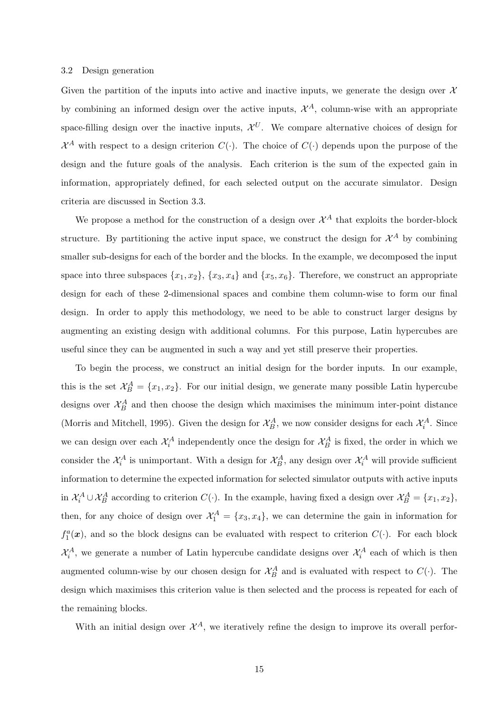#### 3.2 Design generation

Given the partition of the inputs into active and inactive inputs, we generate the design over  $\mathcal{X}$ by combining an informed design over the active inputs,  $\mathcal{X}^A$ , column-wise with an appropriate space-filling design over the inactive inputs,  $\mathcal{X}^U$ . We compare alternative choices of design for  $\mathcal{X}^A$  with respect to a design criterion  $C(\cdot)$ . The choice of  $C(\cdot)$  depends upon the purpose of the design and the future goals of the analysis. Each criterion is the sum of the expected gain in information, appropriately defined, for each selected output on the accurate simulator. Design criteria are discussed in Section 3.3.

We propose a method for the construction of a design over  $\mathcal{X}^A$  that exploits the border-block structure. By partitioning the active input space, we construct the design for  $\mathcal{X}^A$  by combining smaller sub-designs for each of the border and the blocks. In the example, we decomposed the input space into three subspaces  $\{x_1, x_2\}$ ,  $\{x_3, x_4\}$  and  $\{x_5, x_6\}$ . Therefore, we construct an appropriate design for each of these 2-dimensional spaces and combine them column-wise to form our final design. In order to apply this methodology, we need to be able to construct larger designs by augmenting an existing design with additional columns. For this purpose, Latin hypercubes are useful since they can be augmented in such a way and yet still preserve their properties.

To begin the process, we construct an initial design for the border inputs. In our example, this is the set  $\mathcal{X}_{B}^{A} = \{x_1, x_2\}$ . For our initial design, we generate many possible Latin hypercube designs over  $\mathcal{X}_{B}^{A}$  and then choose the design which maximises the minimum inter-point distance (Morris and Mitchell, 1995). Given the design for  $\mathcal{X}_{B}^{A}$ , we now consider designs for each  $\mathcal{X}_{i}^{A}$ . Since we can design over each  $\mathcal{X}_i^A$  independently once the design for  $\mathcal{X}_B^A$  is fixed, the order in which we consider the  $\mathcal{X}_i^A$  is unimportant. With a design for  $\mathcal{X}_B^A$ , any design over  $\mathcal{X}_i^A$  will provide sufficient information to determine the expected information for selected simulator outputs with active inputs in  $\mathcal{X}_i^A \cup \mathcal{X}_B^A$  according to criterion  $C(\cdot)$ . In the example, having fixed a design over  $\mathcal{X}_B^A = \{x_1, x_2\}$ , then, for any choice of design over  $\mathcal{X}_1^A = \{x_3, x_4\}$ , we can determine the gain in information for  $f_1^a(x)$ , and so the block designs can be evaluated with respect to criterion  $C(\cdot)$ . For each block  $\mathcal{X}_i^A$ , we generate a number of Latin hypercube candidate designs over  $\mathcal{X}_i^A$  each of which is then augmented column-wise by our chosen design for  $\mathcal{X}_{B}^{A}$  and is evaluated with respect to  $C(\cdot)$ . The design which maximises this criterion value is then selected and the process is repeated for each of the remaining blocks.

With an initial design over  $\mathcal{X}^A$ , we iteratively refine the design to improve its overall perfor-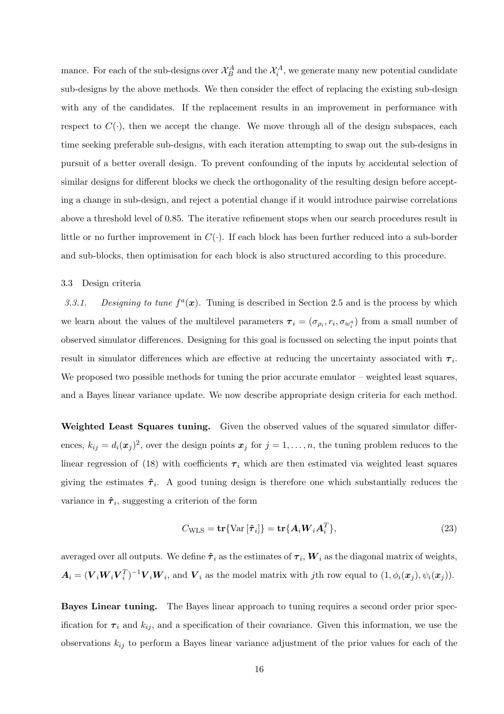mance. For each of the sub-designs over  $\mathcal{X}_{B}^{A}$  and the  $\mathcal{X}_{i}^{A}$ , we generate many new potential candidate sub-designs by the above methods. We then consider the effect of replacing the existing sub-design with any of the candidates. If the replacement results in an improvement in performance with respect to  $C(\cdot)$ , then we accept the change. We move through all of the design subspaces, each time seeking preferable sub-designs, with each iteration attempting to swap out the sub-designs in pursuit of a better overall design. To prevent confounding of the inputs by accidental selection of similar designs for different blocks we check the orthogonality of the resulting design before accepting a change in sub-design, and reject a potential change if it would introduce pairwise correlations above a threshold level of 0.85. The iterative refinement stops when our search procedures result in little or no further improvement in  $C(\cdot)$ . If each block has been further reduced into a sub-border and sub-blocks, then optimisation for each block is also structured according to this procedure.

## 3.3 Design criteria

3.3.1. Designing to tune  $f^a(x)$ . Tuning is described in Section 2.5 and is the process by which we learn about the values of the multilevel parameters  $\tau_i = (\sigma_{\rho_i}, r_i, \sigma_{w_i^a})$  from a small number of observed simulator differences. Designing for this goal is focussed on selecting the input points that result in simulator differences which are effective at reducing the uncertainty associated with  $\tau_i$ . We proposed two possible methods for tuning the prior accurate emulator – weighted least squares, and a Bayes linear variance update. We now describe appropriate design criteria for each method.

Weighted Least Squares tuning. Given the observed values of the squared simulator differences,  $k_{ij} = d_i(\mathbf{x}_j)^2$ , over the design points  $\mathbf{x}_j$  for  $j = 1, \ldots, n$ , the tuning problem reduces to the linear regression of (18) with coefficients  $\tau_i$  which are then estimated via weighted least squares giving the estimates  $\hat{\tau}_i$ . A good tuning design is therefore one which substantially reduces the variance in  $\hat{\tau}_i$ , suggesting a criterion of the form

$$
C_{\text{WLS}} = \mathbf{tr}\{\text{Var}\left[\hat{\boldsymbol{\tau}}_i\right]\} = \mathbf{tr}\{\boldsymbol{A}_i \boldsymbol{W}_i \boldsymbol{A}_i^T\},\tag{23}
$$

averaged over all outputs. We define  $\hat{\pmb{\tau}}_i$  as the estimates of  $\pmb{\tau}_i, \pmb{W}_i$  as the diagonal matrix of weights,  $A_i = (\boldsymbol{V}_i \boldsymbol{W}_i \boldsymbol{V}_i^T)^{-1} \boldsymbol{V}_i \boldsymbol{W}_i$ , and  $\boldsymbol{V}_i$  as the model matrix with jth row equal to  $(1, \phi_i(\boldsymbol{x}_j), \psi_i(\boldsymbol{x}_j)).$ 

Bayes Linear tuning. The Bayes linear approach to tuning requires a second order prior specification for  $\tau_i$  and  $k_{ij}$ , and a specification of their covariance. Given this information, we use the observations  $k_{ij}$  to perform a Bayes linear variance adjustment of the prior values for each of the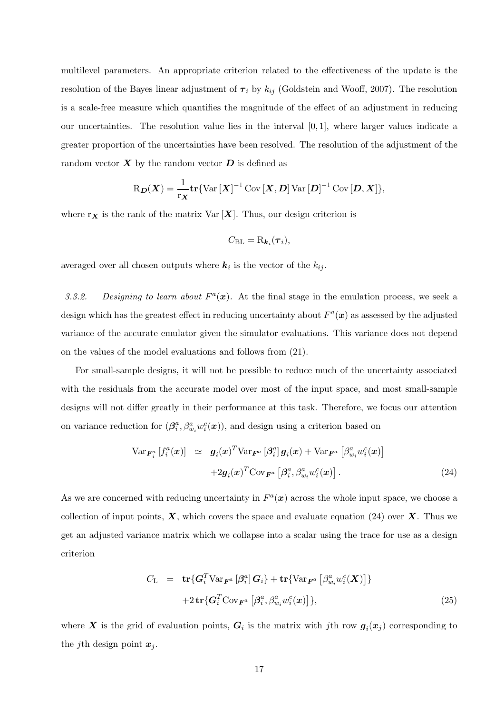multilevel parameters. An appropriate criterion related to the effectiveness of the update is the resolution of the Bayes linear adjustment of  $\tau_i$  by  $k_{ij}$  (Goldstein and Wooff, 2007). The resolution is a scale-free measure which quantifies the magnitude of the effect of an adjustment in reducing our uncertainties. The resolution value lies in the interval [0, 1], where larger values indicate a greater proportion of the uncertainties have been resolved. The resolution of the adjustment of the random vector  $\boldsymbol{X}$  by the random vector  $\boldsymbol{D}$  is defined as

$$
R_{\boldsymbol{D}}(\boldsymbol{X}) = \frac{1}{r_{\boldsymbol{X}}} tr \{ Var\left[\boldsymbol{X}\right]^{-1} Cov\left[\boldsymbol{X}, \boldsymbol{D}\right] Var\left[\boldsymbol{D}\right]^{-1} Cov\left[\boldsymbol{D}, \boldsymbol{X}\right]\},\
$$

where  $r_X$  is the rank of the matrix  $Var[X]$ . Thus, our design criterion is

$$
C_{\rm BL} = R_{\boldsymbol{k}_i}(\boldsymbol{\tau}_i),
$$

averaged over all chosen outputs where  $k_i$  is the vector of the  $k_{ij}$ .

3.3.2. Designing to learn about  $F^a(x)$ . At the final stage in the emulation process, we seek a design which has the greatest effect in reducing uncertainty about  $F^a(\mathbf{x})$  as assessed by the adjusted variance of the accurate emulator given the simulator evaluations. This variance does not depend on the values of the model evaluations and follows from (21).

For small-sample designs, it will not be possible to reduce much of the uncertainty associated with the residuals from the accurate model over most of the input space, and most small-sample designs will not differ greatly in their performance at this task. Therefore, we focus our attention on variance reduction for  $(\beta_i^a, \beta_{w_i}^a w_i^c(\boldsymbol{x}))$ , and design using a criterion based on

$$
\operatorname{Var}_{\boldsymbol{F}_i^a} \left[ f_i^a(\boldsymbol{x}) \right] \ \simeq \ \boldsymbol{g}_i(\boldsymbol{x})^T \operatorname{Var}_{\boldsymbol{F}^a} \left[ \beta_i^a \right] \boldsymbol{g}_i(\boldsymbol{x}) + \operatorname{Var}_{\boldsymbol{F}^a} \left[ \beta_{w_i}^a w_i^c(\boldsymbol{x}) \right] \\
+ 2 \boldsymbol{g}_i(\boldsymbol{x})^T \operatorname{Cov}_{\boldsymbol{F}^a} \left[ \beta_i^a, \beta_{w_i}^a w_i^c(\boldsymbol{x}) \right]. \tag{24}
$$

As we are concerned with reducing uncertainty in  $F^a(x)$  across the whole input space, we choose a collection of input points,  $\mathbf{X}$ , which covers the space and evaluate equation (24) over  $\mathbf{X}$ . Thus we get an adjusted variance matrix which we collapse into a scalar using the trace for use as a design criterion

$$
C_{\mathcal{L}} = \mathbf{tr}\{\mathbf{G}_i^T \text{Var}_{\mathbf{F}^a} \left[\beta_i^a\right] \mathbf{G}_i\} + \mathbf{tr}\{\text{Var}_{\mathbf{F}^a} \left[\beta_{w_i}^a w_i^c(\mathbf{X})\right]\}
$$

$$
+ 2 \mathbf{tr}\{\mathbf{G}_i^T \text{Cov}_{\mathbf{F}^a} \left[\beta_i^a, \beta_{w_i}^a w_i^c(\mathbf{x})\right]\},
$$
(25)

where  $X$  is the grid of evaluation points,  $G_i$  is the matrix with jth row  $g_i(x_j)$  corresponding to the *j*th design point  $x_i$ .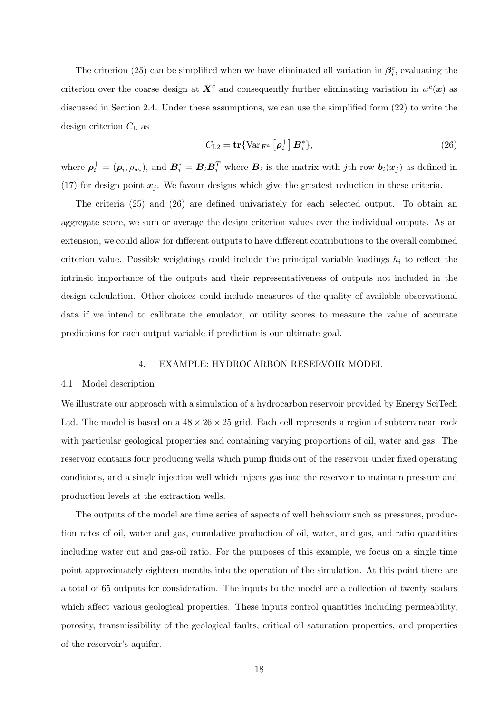The criterion (25) can be simplified when we have eliminated all variation in  $\beta_i^c$ , evaluating the criterion over the coarse design at  $X^c$  and consequently further eliminating variation in  $w^c(x)$  as discussed in Section 2.4. Under these assumptions, we can use the simplified form (22) to write the design criterion  $C_{\text{L}}$  as

$$
C_{\text{L2}} = \mathbf{tr}\{\text{Var}_{\mathbf{F}^a}\left[\boldsymbol{\rho}_i^+\right] \mathbf{B}_i^*\},\tag{26}
$$

where  $\rho_i^+ = (\rho_i, \rho_{w_i})$ , and  $B_i^* = B_i B_i^T$  where  $B_i$  is the matrix with jth row  $b_i(x_j)$  as defined in (17) for design point  $x_j$ . We favour designs which give the greatest reduction in these criteria.

The criteria (25) and (26) are defined univariately for each selected output. To obtain an aggregate score, we sum or average the design criterion values over the individual outputs. As an extension, we could allow for different outputs to have different contributions to the overall combined criterion value. Possible weightings could include the principal variable loadings  $h_i$  to reflect the intrinsic importance of the outputs and their representativeness of outputs not included in the design calculation. Other choices could include measures of the quality of available observational data if we intend to calibrate the emulator, or utility scores to measure the value of accurate predictions for each output variable if prediction is our ultimate goal.

#### 4. EXAMPLE: HYDROCARBON RESERVOIR MODEL

#### 4.1 Model description

We illustrate our approach with a simulation of a hydrocarbon reservoir provided by Energy SciTech Ltd. The model is based on a  $48 \times 26 \times 25$  grid. Each cell represents a region of subterranean rock with particular geological properties and containing varying proportions of oil, water and gas. The reservoir contains four producing wells which pump fluids out of the reservoir under fixed operating conditions, and a single injection well which injects gas into the reservoir to maintain pressure and production levels at the extraction wells.

The outputs of the model are time series of aspects of well behaviour such as pressures, production rates of oil, water and gas, cumulative production of oil, water, and gas, and ratio quantities including water cut and gas-oil ratio. For the purposes of this example, we focus on a single time point approximately eighteen months into the operation of the simulation. At this point there are a total of 65 outputs for consideration. The inputs to the model are a collection of twenty scalars which affect various geological properties. These inputs control quantities including permeability, porosity, transmissibility of the geological faults, critical oil saturation properties, and properties of the reservoir's aquifer.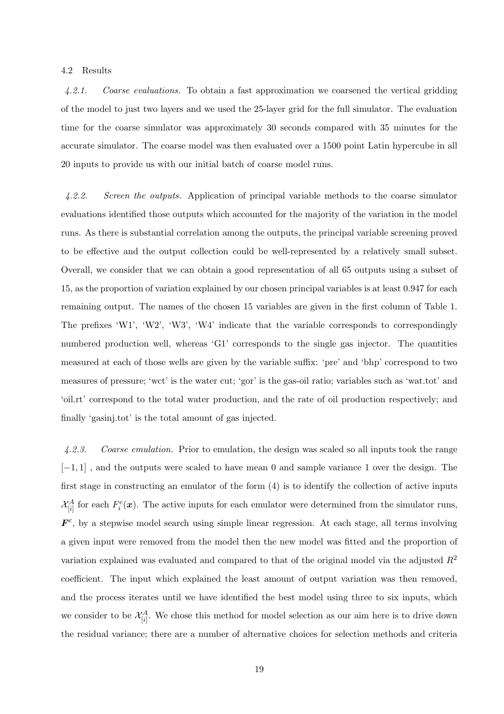## 4.2 Results

4.2.1. Coarse evaluations. To obtain a fast approximation we coarsened the vertical gridding of the model to just two layers and we used the 25-layer grid for the full simulator. The evaluation time for the coarse simulator was approximately 30 seconds compared with 35 minutes for the accurate simulator. The coarse model was then evaluated over a 1500 point Latin hypercube in all 20 inputs to provide us with our initial batch of coarse model runs.

4.2.2. Screen the outputs. Application of principal variable methods to the coarse simulator evaluations identified those outputs which accounted for the majority of the variation in the model runs. As there is substantial correlation among the outputs, the principal variable screening proved to be effective and the output collection could be well-represented by a relatively small subset. Overall, we consider that we can obtain a good representation of all 65 outputs using a subset of 15, as the proportion of variation explained by our chosen principal variables is at least 0.947 for each remaining output. The names of the chosen 15 variables are given in the first column of Table 1. The prefixes 'W1', 'W2', 'W3', 'W4' indicate that the variable corresponds to correspondingly numbered production well, whereas 'G1' corresponds to the single gas injector. The quantities measured at each of those wells are given by the variable suffix: 'pre' and 'bhp' correspond to two measures of pressure; 'wct' is the water cut; 'gor' is the gas-oil ratio; variables such as 'wat.tot' and 'oil.rt' correspond to the total water production, and the rate of oil production respectively; and finally 'gasinj.tot' is the total amount of gas injected.

4.2.3. Coarse emulation. Prior to emulation, the design was scaled so all inputs took the range [−1, 1] , and the outputs were scaled to have mean 0 and sample variance 1 over the design. The first stage in constructing an emulator of the form (4) is to identify the collection of active inputs  $\mathcal{X}_{[i]}^A$  for each  $F_i^c(\boldsymbol{x})$ . The active inputs for each emulator were determined from the simulator runs,  $\mathbf{F}^c$ , by a stepwise model search using simple linear regression. At each stage, all terms involving a given input were removed from the model then the new model was fitted and the proportion of variation explained was evaluated and compared to that of the original model via the adjusted  $R^2$ coefficient. The input which explained the least amount of output variation was then removed, and the process iterates until we have identified the best model using three to six inputs, which we consider to be  $\mathcal{X}_{[i]}^A$ . We chose this method for model selection as our aim here is to drive down the residual variance; there are a number of alternative choices for selection methods and criteria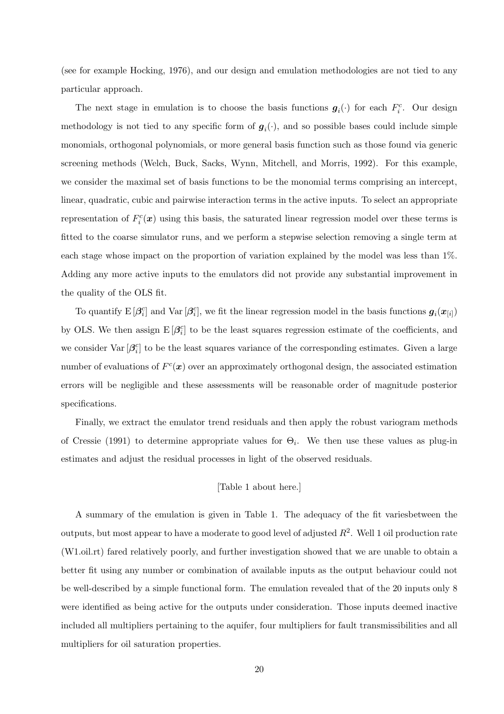(see for example Hocking, 1976), and our design and emulation methodologies are not tied to any particular approach.

The next stage in emulation is to choose the basis functions  $g_i(\cdot)$  for each  $F_i^c$ . Our design methodology is not tied to any specific form of  $g_i(\cdot)$ , and so possible bases could include simple monomials, orthogonal polynomials, or more general basis function such as those found via generic screening methods (Welch, Buck, Sacks, Wynn, Mitchell, and Morris, 1992). For this example, we consider the maximal set of basis functions to be the monomial terms comprising an intercept, linear, quadratic, cubic and pairwise interaction terms in the active inputs. To select an appropriate representation of  $F_i^c(\mathbf{x})$  using this basis, the saturated linear regression model over these terms is fitted to the coarse simulator runs, and we perform a stepwise selection removing a single term at each stage whose impact on the proportion of variation explained by the model was less than 1%. Adding any more active inputs to the emulators did not provide any substantial improvement in the quality of the OLS fit.

To quantify  $E[\beta_i^c]$  and  $Var[\beta_i^c]$ , we fit the linear regression model in the basis functions  $g_i(x_{[i]})$ by OLS. We then assign  $E[\beta_i^c]$  to be the least squares regression estimate of the coefficients, and we consider  $\text{Var}[\beta_i^c]$  to be the least squares variance of the corresponding estimates. Given a large number of evaluations of  $F^c(\mathbf{x})$  over an approximately orthogonal design, the associated estimation errors will be negligible and these assessments will be reasonable order of magnitude posterior specifications.

Finally, we extract the emulator trend residuals and then apply the robust variogram methods of Cressie (1991) to determine appropriate values for  $\Theta_i$ . We then use these values as plug-in estimates and adjust the residual processes in light of the observed residuals.

# [Table 1 about here.]

A summary of the emulation is given in Table 1. The adequacy of the fit variesbetween the outputs, but most appear to have a moderate to good level of adjusted  $R^2$ . Well 1 oil production rate (W1.oil.rt) fared relatively poorly, and further investigation showed that we are unable to obtain a better fit using any number or combination of available inputs as the output behaviour could not be well-described by a simple functional form. The emulation revealed that of the 20 inputs only 8 were identified as being active for the outputs under consideration. Those inputs deemed inactive included all multipliers pertaining to the aquifer, four multipliers for fault transmissibilities and all multipliers for oil saturation properties.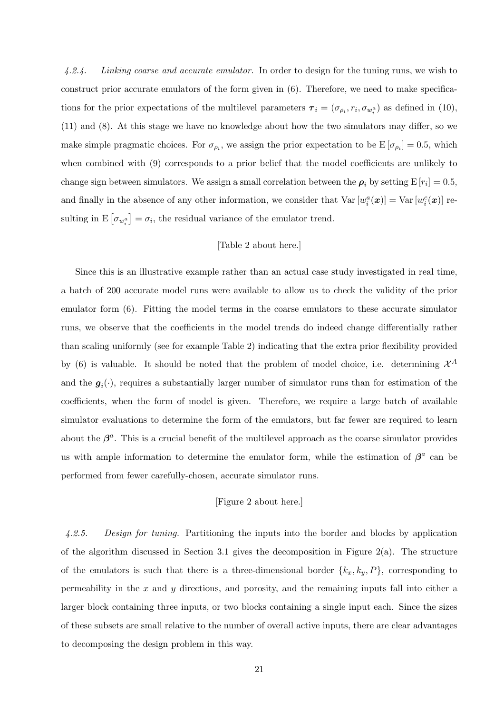4.2.4. Linking coarse and accurate emulator. In order to design for the tuning runs, we wish to construct prior accurate emulators of the form given in (6). Therefore, we need to make specifications for the prior expectations of the multilevel parameters  $\tau_i = (\sigma_{\rho_i}, r_i, \sigma_{w_i^a})$  as defined in (10), (11) and (8). At this stage we have no knowledge about how the two simulators may differ, so we make simple pragmatic choices. For  $\sigma_{\rho_i}$ , we assign the prior expectation to be  $E[\sigma_{\rho_i}]=0.5$ , which when combined with (9) corresponds to a prior belief that the model coefficients are unlikely to change sign between simulators. We assign a small correlation between the  $\rho_i$  by setting  $\text{E}[r_i] = 0.5$ , and finally in the absence of any other information, we consider that  $\text{Var}\left[w_i^a(\bm{x})\right] = \text{Var}\left[w_i^c(\bm{x})\right]$  resulting in  $E\left[\sigma_{w_i^a}\right] = \sigma_i$ , the residual variance of the emulator trend.

# [Table 2 about here.]

Since this is an illustrative example rather than an actual case study investigated in real time, a batch of 200 accurate model runs were available to allow us to check the validity of the prior emulator form (6). Fitting the model terms in the coarse emulators to these accurate simulator runs, we observe that the coefficients in the model trends do indeed change differentially rather than scaling uniformly (see for example Table 2) indicating that the extra prior flexibility provided by (6) is valuable. It should be noted that the problem of model choice, i.e. determining  $\mathcal{X}^A$ and the  $g_i(\cdot)$ , requires a substantially larger number of simulator runs than for estimation of the coefficients, when the form of model is given. Therefore, we require a large batch of available simulator evaluations to determine the form of the emulators, but far fewer are required to learn about the  $\beta^a$ . This is a crucial benefit of the multilevel approach as the coarse simulator provides us with ample information to determine the emulator form, while the estimation of  $\beta^a$  can be performed from fewer carefully-chosen, accurate simulator runs.

# [Figure 2 about here.]

4.2.5. Design for tuning. Partitioning the inputs into the border and blocks by application of the algorithm discussed in Section 3.1 gives the decomposition in Figure 2(a). The structure of the emulators is such that there is a three-dimensional border  $\{k_x, k_y, P\}$ , corresponding to permeability in the x and y directions, and porosity, and the remaining inputs fall into either a larger block containing three inputs, or two blocks containing a single input each. Since the sizes of these subsets are small relative to the number of overall active inputs, there are clear advantages to decomposing the design problem in this way.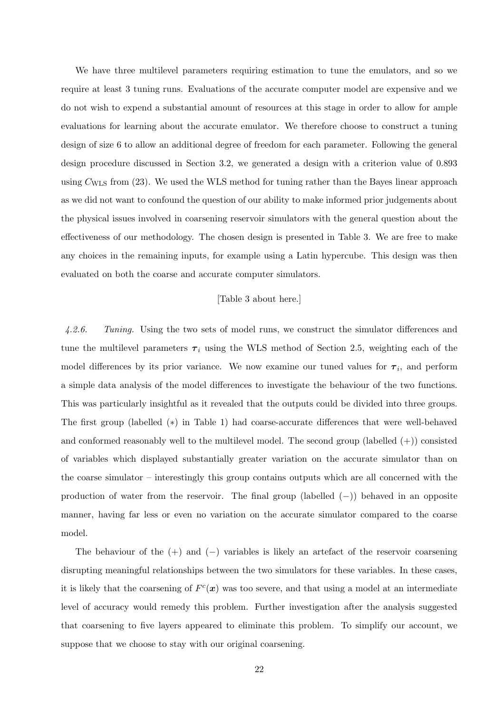We have three multilevel parameters requiring estimation to tune the emulators, and so we require at least 3 tuning runs. Evaluations of the accurate computer model are expensive and we do not wish to expend a substantial amount of resources at this stage in order to allow for ample evaluations for learning about the accurate emulator. We therefore choose to construct a tuning design of size 6 to allow an additional degree of freedom for each parameter. Following the general design procedure discussed in Section 3.2, we generated a design with a criterion value of 0.893 using  $C_{\text{WLS}}$  from (23). We used the WLS method for tuning rather than the Bayes linear approach as we did not want to confound the question of our ability to make informed prior judgements about the physical issues involved in coarsening reservoir simulators with the general question about the effectiveness of our methodology. The chosen design is presented in Table 3. We are free to make any choices in the remaining inputs, for example using a Latin hypercube. This design was then evaluated on both the coarse and accurate computer simulators.

#### [Table 3 about here.]

4.2.6. Tuning. Using the two sets of model runs, we construct the simulator differences and tune the multilevel parameters  $\tau_i$  using the WLS method of Section 2.5, weighting each of the model differences by its prior variance. We now examine our tuned values for  $\tau_i$ , and perform a simple data analysis of the model differences to investigate the behaviour of the two functions. This was particularly insightful as it revealed that the outputs could be divided into three groups. The first group (labelled (∗) in Table 1) had coarse-accurate differences that were well-behaved and conformed reasonably well to the multilevel model. The second group (labelled  $(+)$ ) consisted of variables which displayed substantially greater variation on the accurate simulator than on the coarse simulator – interestingly this group contains outputs which are all concerned with the production of water from the reservoir. The final group (labelled (−)) behaved in an opposite manner, having far less or even no variation on the accurate simulator compared to the coarse model.

The behaviour of the  $(+)$  and  $(-)$  variables is likely an artefact of the reservoir coarsening disrupting meaningful relationships between the two simulators for these variables. In these cases, it is likely that the coarsening of  $F^c(\mathbf{x})$  was too severe, and that using a model at an intermediate level of accuracy would remedy this problem. Further investigation after the analysis suggested that coarsening to five layers appeared to eliminate this problem. To simplify our account, we suppose that we choose to stay with our original coarsening.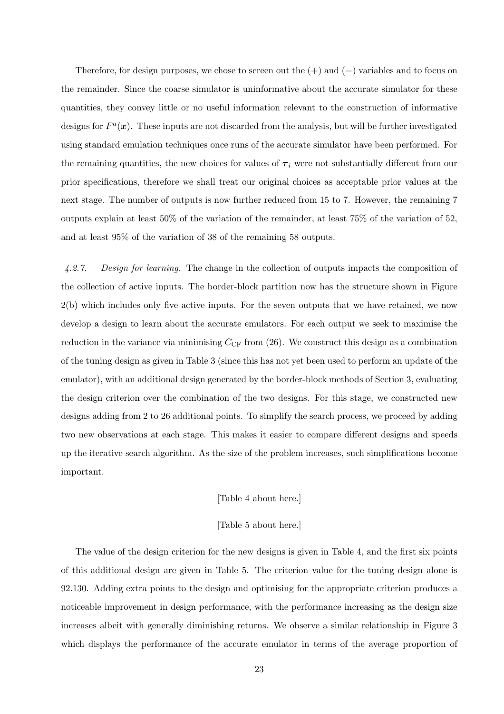Therefore, for design purposes, we chose to screen out the  $(+)$  and  $(-)$  variables and to focus on the remainder. Since the coarse simulator is uninformative about the accurate simulator for these quantities, they convey little or no useful information relevant to the construction of informative designs for  $F^a(x)$ . These inputs are not discarded from the analysis, but will be further investigated using standard emulation techniques once runs of the accurate simulator have been performed. For the remaining quantities, the new choices for values of  $\tau_i$  were not substantially different from our prior specifications, therefore we shall treat our original choices as acceptable prior values at the next stage. The number of outputs is now further reduced from 15 to 7. However, the remaining 7 outputs explain at least 50% of the variation of the remainder, at least 75% of the variation of 52, and at least 95% of the variation of 38 of the remaining 58 outputs.

4.2.7. Design for learning. The change in the collection of outputs impacts the composition of the collection of active inputs. The border-block partition now has the structure shown in Figure 2(b) which includes only five active inputs. For the seven outputs that we have retained, we now develop a design to learn about the accurate emulators. For each output we seek to maximise the reduction in the variance via minimising  $C_{CF}$  from (26). We construct this design as a combination of the tuning design as given in Table 3 (since this has not yet been used to perform an update of the emulator), with an additional design generated by the border-block methods of Section 3, evaluating the design criterion over the combination of the two designs. For this stage, we constructed new designs adding from 2 to 26 additional points. To simplify the search process, we proceed by adding two new observations at each stage. This makes it easier to compare different designs and speeds up the iterative search algorithm. As the size of the problem increases, such simplifications become important.

#### [Table 4 about here.]

# [Table 5 about here.]

The value of the design criterion for the new designs is given in Table 4, and the first six points of this additional design are given in Table 5. The criterion value for the tuning design alone is 92.130. Adding extra points to the design and optimising for the appropriate criterion produces a noticeable improvement in design performance, with the performance increasing as the design size increases albeit with generally diminishing returns. We observe a similar relationship in Figure 3 which displays the performance of the accurate emulator in terms of the average proportion of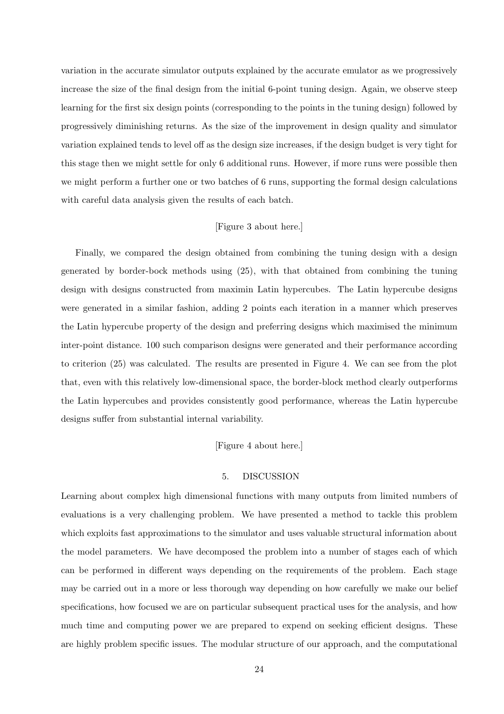variation in the accurate simulator outputs explained by the accurate emulator as we progressively increase the size of the final design from the initial 6-point tuning design. Again, we observe steep learning for the first six design points (corresponding to the points in the tuning design) followed by progressively diminishing returns. As the size of the improvement in design quality and simulator variation explained tends to level off as the design size increases, if the design budget is very tight for this stage then we might settle for only 6 additional runs. However, if more runs were possible then we might perform a further one or two batches of 6 runs, supporting the formal design calculations with careful data analysis given the results of each batch.

# [Figure 3 about here.]

Finally, we compared the design obtained from combining the tuning design with a design generated by border-bock methods using (25), with that obtained from combining the tuning design with designs constructed from maximin Latin hypercubes. The Latin hypercube designs were generated in a similar fashion, adding 2 points each iteration in a manner which preserves the Latin hypercube property of the design and preferring designs which maximised the minimum inter-point distance. 100 such comparison designs were generated and their performance according to criterion (25) was calculated. The results are presented in Figure 4. We can see from the plot that, even with this relatively low-dimensional space, the border-block method clearly outperforms the Latin hypercubes and provides consistently good performance, whereas the Latin hypercube designs suffer from substantial internal variability.

## [Figure 4 about here.]

## 5. DISCUSSION

Learning about complex high dimensional functions with many outputs from limited numbers of evaluations is a very challenging problem. We have presented a method to tackle this problem which exploits fast approximations to the simulator and uses valuable structural information about the model parameters. We have decomposed the problem into a number of stages each of which can be performed in different ways depending on the requirements of the problem. Each stage may be carried out in a more or less thorough way depending on how carefully we make our belief specifications, how focused we are on particular subsequent practical uses for the analysis, and how much time and computing power we are prepared to expend on seeking efficient designs. These are highly problem specific issues. The modular structure of our approach, and the computational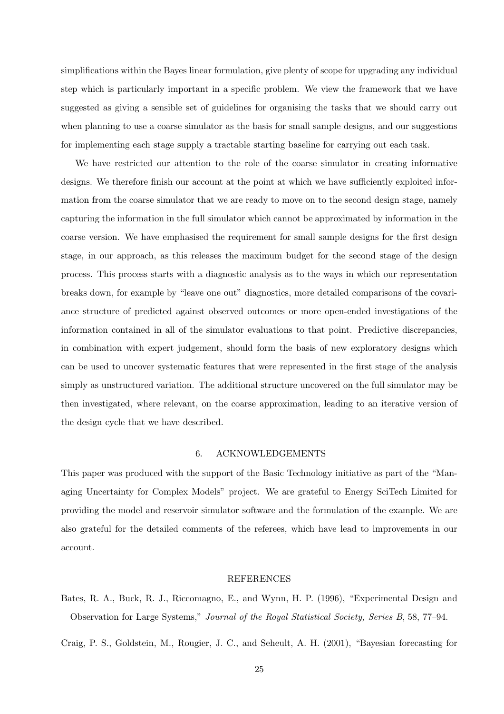simplifications within the Bayes linear formulation, give plenty of scope for upgrading any individual step which is particularly important in a specific problem. We view the framework that we have suggested as giving a sensible set of guidelines for organising the tasks that we should carry out when planning to use a coarse simulator as the basis for small sample designs, and our suggestions for implementing each stage supply a tractable starting baseline for carrying out each task.

We have restricted our attention to the role of the coarse simulator in creating informative designs. We therefore finish our account at the point at which we have sufficiently exploited information from the coarse simulator that we are ready to move on to the second design stage, namely capturing the information in the full simulator which cannot be approximated by information in the coarse version. We have emphasised the requirement for small sample designs for the first design stage, in our approach, as this releases the maximum budget for the second stage of the design process. This process starts with a diagnostic analysis as to the ways in which our representation breaks down, for example by "leave one out" diagnostics, more detailed comparisons of the covariance structure of predicted against observed outcomes or more open-ended investigations of the information contained in all of the simulator evaluations to that point. Predictive discrepancies, in combination with expert judgement, should form the basis of new exploratory designs which can be used to uncover systematic features that were represented in the first stage of the analysis simply as unstructured variation. The additional structure uncovered on the full simulator may be then investigated, where relevant, on the coarse approximation, leading to an iterative version of the design cycle that we have described.

#### 6. ACKNOWLEDGEMENTS

This paper was produced with the support of the Basic Technology initiative as part of the "Managing Uncertainty for Complex Models" project. We are grateful to Energy SciTech Limited for providing the model and reservoir simulator software and the formulation of the example. We are also grateful for the detailed comments of the referees, which have lead to improvements in our account.

## REFERENCES

Bates, R. A., Buck, R. J., Riccomagno, E., and Wynn, H. P. (1996), "Experimental Design and Observation for Large Systems," Journal of the Royal Statistical Society, Series B, 58, 77–94.

Craig, P. S., Goldstein, M., Rougier, J. C., and Seheult, A. H. (2001), "Bayesian forecasting for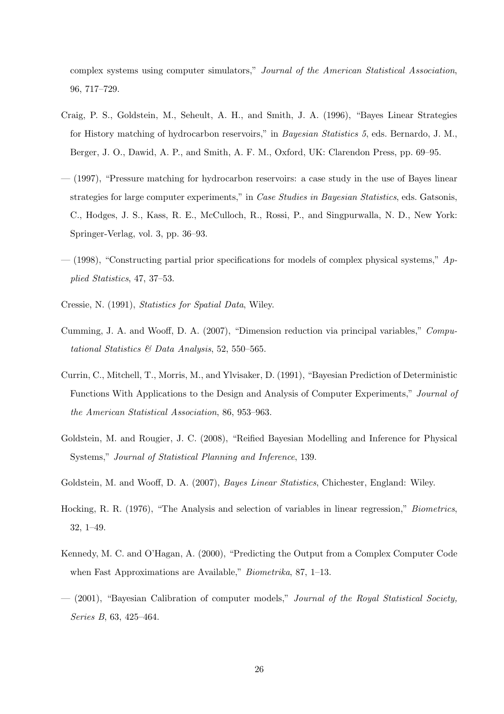complex systems using computer simulators," Journal of the American Statistical Association, 96, 717–729.

- Craig, P. S., Goldstein, M., Seheult, A. H., and Smith, J. A. (1996), "Bayes Linear Strategies for History matching of hydrocarbon reservoirs," in Bayesian Statistics 5, eds. Bernardo, J. M., Berger, J. O., Dawid, A. P., and Smith, A. F. M., Oxford, UK: Clarendon Press, pp. 69–95.
- (1997), "Pressure matching for hydrocarbon reservoirs: a case study in the use of Bayes linear strategies for large computer experiments," in Case Studies in Bayesian Statistics, eds. Gatsonis, C., Hodges, J. S., Kass, R. E., McCulloch, R., Rossi, P., and Singpurwalla, N. D., New York: Springer-Verlag, vol. 3, pp. 36–93.
- $-$  (1998), "Constructing partial prior specifications for models of complex physical systems,"  $Ap$ plied Statistics, 47, 37–53.
- Cressie, N. (1991), Statistics for Spatial Data, Wiley.
- Cumming, J. A. and Wooff, D. A. (2007), "Dimension reduction via principal variables," Computational Statistics & Data Analysis, 52, 550–565.
- Currin, C., Mitchell, T., Morris, M., and Ylvisaker, D. (1991), "Bayesian Prediction of Deterministic Functions With Applications to the Design and Analysis of Computer Experiments," Journal of the American Statistical Association, 86, 953–963.
- Goldstein, M. and Rougier, J. C. (2008), "Reified Bayesian Modelling and Inference for Physical Systems," Journal of Statistical Planning and Inference, 139.
- Goldstein, M. and Wooff, D. A. (2007), Bayes Linear Statistics, Chichester, England: Wiley.
- Hocking, R. R. (1976), "The Analysis and selection of variables in linear regression," Biometrics, 32, 1–49.
- Kennedy, M. C. and O'Hagan, A. (2000), "Predicting the Output from a Complex Computer Code when Fast Approximations are Available," Biometrika, 87, 1–13.
- $-$  (2001), "Bayesian Calibration of computer models," Journal of the Royal Statistical Society, Series B, 63, 425–464.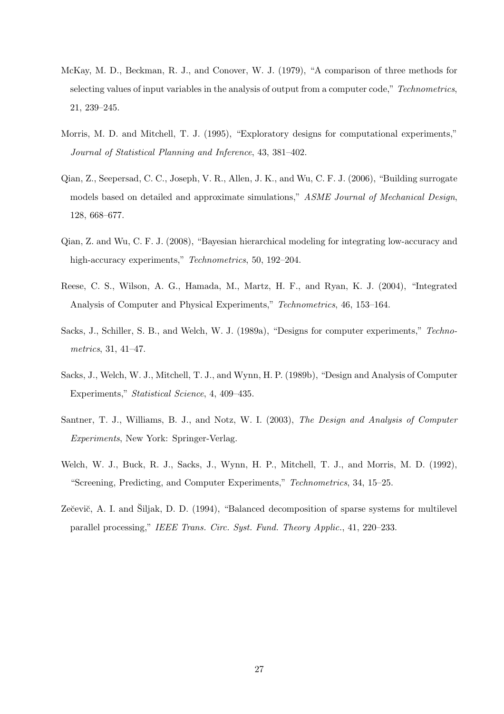- McKay, M. D., Beckman, R. J., and Conover, W. J. (1979), "A comparison of three methods for selecting values of input variables in the analysis of output from a computer code," Technometrics, 21, 239–245.
- Morris, M. D. and Mitchell, T. J. (1995), "Exploratory designs for computational experiments," Journal of Statistical Planning and Inference, 43, 381–402.
- Qian, Z., Seepersad, C. C., Joseph, V. R., Allen, J. K., and Wu, C. F. J. (2006), "Building surrogate models based on detailed and approximate simulations," ASME Journal of Mechanical Design, 128, 668–677.
- Qian, Z. and Wu, C. F. J. (2008), "Bayesian hierarchical modeling for integrating low-accuracy and high-accuracy experiments," Technometrics, 50, 192-204.
- Reese, C. S., Wilson, A. G., Hamada, M., Martz, H. F., and Ryan, K. J. (2004), "Integrated Analysis of Computer and Physical Experiments," Technometrics, 46, 153–164.
- Sacks, J., Schiller, S. B., and Welch, W. J. (1989a), "Designs for computer experiments," Technometrics, 31, 41–47.
- Sacks, J., Welch, W. J., Mitchell, T. J., and Wynn, H. P. (1989b), "Design and Analysis of Computer Experiments," Statistical Science, 4, 409–435.
- Santner, T. J., Williams, B. J., and Notz, W. I. (2003), The Design and Analysis of Computer Experiments, New York: Springer-Verlag.
- Welch, W. J., Buck, R. J., Sacks, J., Wynn, H. P., Mitchell, T. J., and Morris, M. D. (1992), "Screening, Predicting, and Computer Experiments," Technometrics, 34, 15–25.
- Zečevič, A. I. and Šiljak, D. D. (1994), "Balanced decomposition of sparse systems for multilevel parallel processing," IEEE Trans. Circ. Syst. Fund. Theory Applic., 41, 220–233.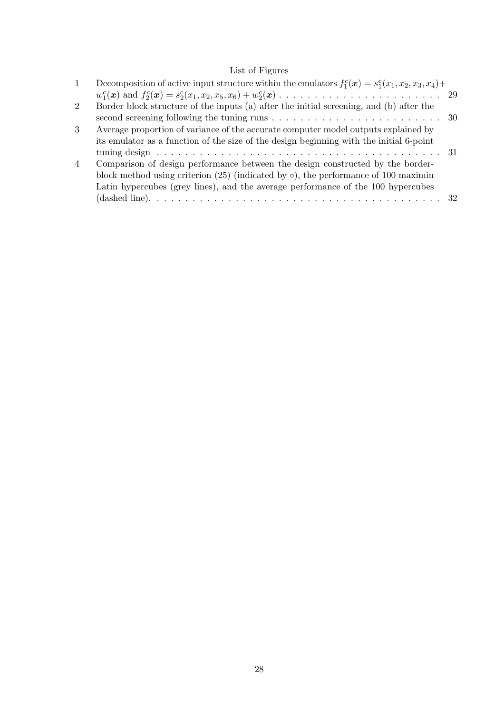# List of Figures

| 1              | Decomposition of active input structure within the emulators $f_1^c(\mathbf{x}) = s_1^c(x_1, x_2, x_3, x_4) +$ |  |
|----------------|----------------------------------------------------------------------------------------------------------------|--|
|                |                                                                                                                |  |
| $\overline{2}$ | Border block structure of the inputs (a) after the initial screening, and (b) after the                        |  |
|                | second screening following the tuning runs $\dots \dots \dots \dots \dots \dots \dots \dots \dots \dots \dots$ |  |
| 3              | Average proportion of variance of the accurate computer model outputs explained by                             |  |
|                | its emulator as a function of the size of the design beginning with the initial 6-point                        |  |
|                |                                                                                                                |  |
| $\overline{4}$ | Comparison of design performance between the design constructed by the border-                                 |  |
|                | block method using criterion $(25)$ (indicated by $\circ$ ), the performance of 100 maximin                    |  |
|                | Latin hypercubes (grey lines), and the average performance of the 100 hypercubes                               |  |
|                |                                                                                                                |  |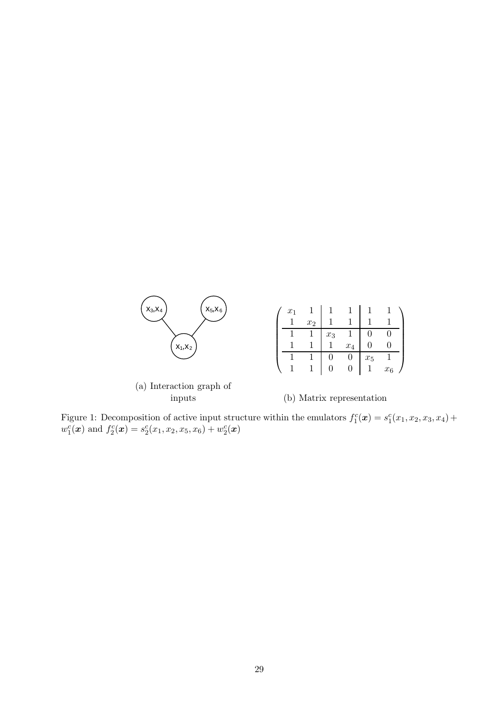

| $x_1$ |       |       |       |       |       |  |
|-------|-------|-------|-------|-------|-------|--|
|       | $x_2$ |       |       |       |       |  |
|       |       | $x_3$ |       |       |       |  |
|       |       |       | $x_4$ |       |       |  |
|       |       |       |       | $x_5$ |       |  |
|       |       |       |       |       | $x_6$ |  |

(a) Interaction graph of inputs

(b) Matrix representation

Figure 1: Decomposition of active input structure within the emulators  $f_1^c(\mathbf{x}) = s_1^c(x_1, x_2, x_3, x_4) +$  $w_1^c(\boldsymbol{x})$  and  $f_2^c(\boldsymbol{x}) = s_2^c(x_1, x_2, x_5, x_6) + w_2^c(\boldsymbol{x})$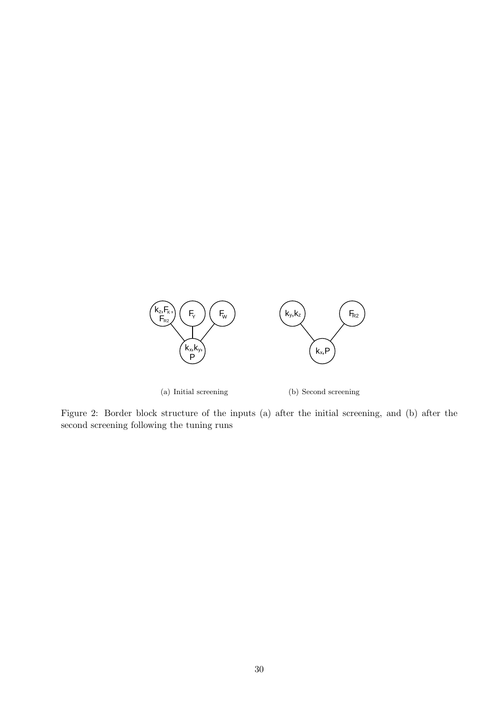

Figure 2: Border block structure of the inputs (a) after the initial screening, and (b) after the second screening following the tuning runs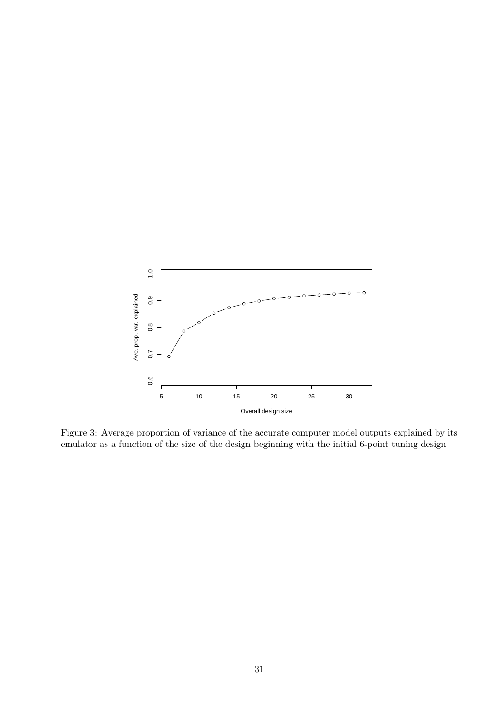

Figure 3: Average proportion of variance of the accurate computer model outputs explained by its emulator as a function of the size of the design beginning with the initial 6-point tuning design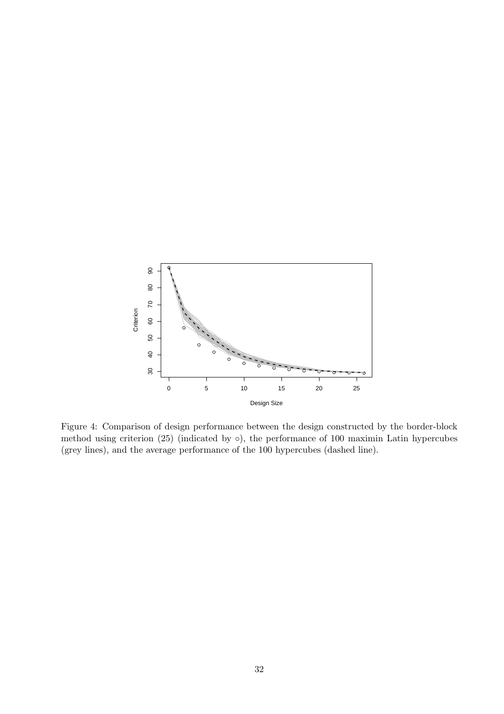

Figure 4: Comparison of design performance between the design constructed by the border-block method using criterion  $(25)$  (indicated by  $\circ$ ), the performance of 100 maximin Latin hypercubes (grey lines), and the average performance of the 100 hypercubes (dashed line).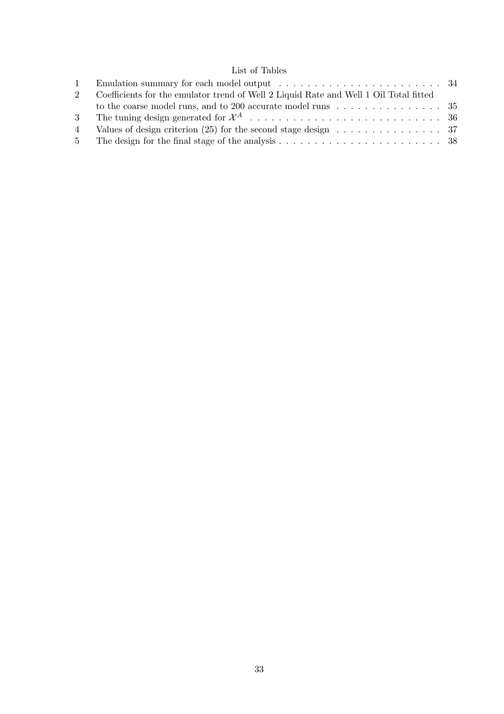# List of Tables

|    | Coefficients for the emulator trend of Well 2 Liquid Rate and Well 1 Oil Total fitted       |  |
|----|---------------------------------------------------------------------------------------------|--|
|    |                                                                                             |  |
|    |                                                                                             |  |
| 4  | Values of design criterion (25) for the second stage design $\dots \dots \dots \dots \dots$ |  |
| 5. |                                                                                             |  |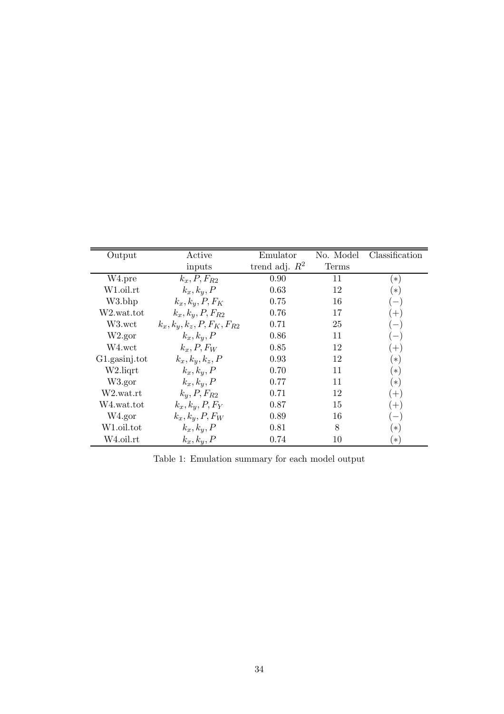| Output             | Active                          | Emulator         | No. Model | Classification           |
|--------------------|---------------------------------|------------------|-----------|--------------------------|
|                    | inputs                          | trend adj. $R^2$ | Terms     |                          |
| W <sub>4.pre</sub> | $k_x, P, F_{R2}$                | 0.90             | 11        | $(\ast)$                 |
| W1.oil.rt          | $k_x, k_y, P$                   | 0.63             | 12        | $(\ast)$                 |
| W3.bhp             | $k_x, k_y, P, F_K$              | 0.75             | 16        | $\overline{\phantom{m}}$ |
| W2.wat.tot         | $k_x, k_y, P, F_{R2}$           | 0.76             | 17        | $(+)$                    |
| W3.wct             | $k_x, k_y, k_z, P, F_K, F_{R2}$ | 0.71             | 25        | $\overline{\phantom{m}}$ |
| W2.gor             | $k_x, k_y, P$                   | 0.86             | 11        | $\overline{\phantom{m}}$ |
| $_{\rm W4.wct}$    | $k_x, P, F_W$                   | 0.85             | 12        | $(+)$                    |
| G1.gasinj.tot      | $k_x, k_y, k_z, P$              | 0.93             | 12        | $(\ast)$                 |
| W2.liqrt           | $k_x, k_y, P$                   | 0.70             | 11        | $(\ast)$                 |
| W3.gor             | $k_x, k_y, P$                   | 0.77             | 11        | $(*)$                    |
| W2.wat.rt          | $k_y, P, F_{R2}$                | 0.71             | 12        | $(+)$                    |
| W4.wat.tot         | $k_x, k_y, P, F_Y$              | 0.87             | 15        | $(+)$                    |
| W4.gor             | $k_x, k_y, P, F_W$              | 0.89             | 16        | $\overline{\phantom{m}}$ |
| W1.oil.tot         | $k_x, k_y, P$                   | 0.81             | 8         | $(*)$                    |
| W4.oil.rt          | $k_x, k_y, P$                   | 0.74             | 10        | $(*)$                    |

Table 1: Emulation summary for each model output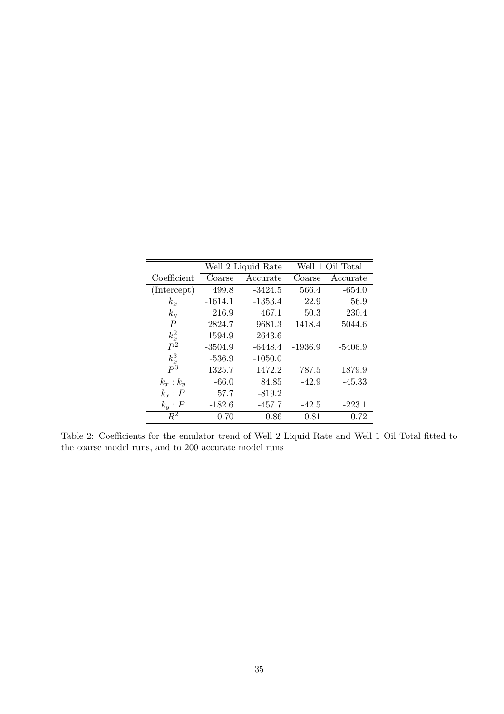|                | Well 2 Liquid Rate |           |           | Well 1 Oil Total |
|----------------|--------------------|-----------|-----------|------------------|
| Coefficient    | Coarse             | Accurate  | Coarse    | Accurate         |
| (Intercept)    | 499.8              | $-3424.5$ | 566.4     | $-654.0$         |
| $k_x$          | $-1614.1$          | $-1353.4$ | 22.9      | 56.9             |
| $k_y$          | 216.9              | 467.1     | 50.3      | 230.4            |
| $\overline{P}$ | 2824.7             | 9681.3    | 1418.4    | 5044.6           |
| $k_x^2$        | 1594.9             | 2643.6    |           |                  |
| $P^2$          | $-3504.9$          | $-6448.4$ | $-1936.9$ | $-5406.9$        |
| $k_x^3$        | $-536.9$           | $-1050.0$ |           |                  |
| $P^3$          | 1325.7             | 1472.2    | 787.5     | 1879.9           |
| $k_x : k_y$    | $-66.0$            | 84.85     | $-42.9$   | $-45.33$         |
| $k_x : P$      | 57.7               | $-819.2$  |           |                  |
| $k_y$ : $P$    | $-182.6$           | $-457.7$  | $-42.5$   | $-223.1$         |
| $R^2$          | 0.70               | 0.86      | 0.81      | 0.72             |

Table 2: Coefficients for the emulator trend of Well 2 Liquid Rate and Well 1 Oil Total fitted to the coarse model runs, and to 200 accurate model runs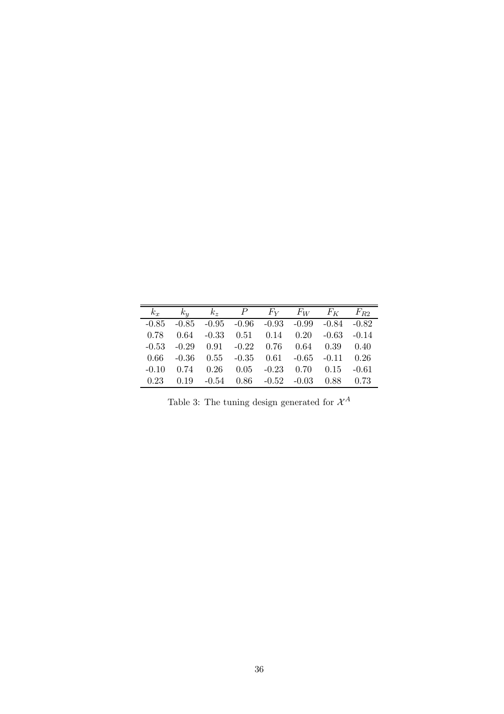| $k_x$   |      |  | $k_y$ $k_z$ $P$ $F_Y$ $F_W$ $F_K$ $F_{R2}$                      |  |         |
|---------|------|--|-----------------------------------------------------------------|--|---------|
|         |      |  | $-0.85$ $-0.85$ $-0.95$ $-0.96$ $-0.93$ $-0.99$ $-0.84$ $-0.82$ |  |         |
|         |      |  |                                                                 |  |         |
| 0.78    | 0.64 |  | $-0.33$ $0.51$ $0.14$ $0.20$ $-0.63$ $-0.14$                    |  |         |
| $-0.53$ |      |  | $-0.29$ $0.91$ $-0.22$ $0.76$ $0.64$ $0.39$ $0.40$              |  |         |
| 0.66    |      |  | $-0.36$ $0.55$ $-0.35$ $0.61$ $-0.65$ $-0.11$ $0.26$            |  |         |
|         |      |  | $-0.10$ $0.74$ $0.26$ $0.05$ $-0.23$ $0.70$ $0.15$              |  | $-0.61$ |
| 0.23    |      |  | $0.19$ $-0.54$ $0.86$ $-0.52$ $-0.03$ $0.88$ $0.73$             |  |         |

Table 3: The tuning design generated for  $\mathcal{X}^A$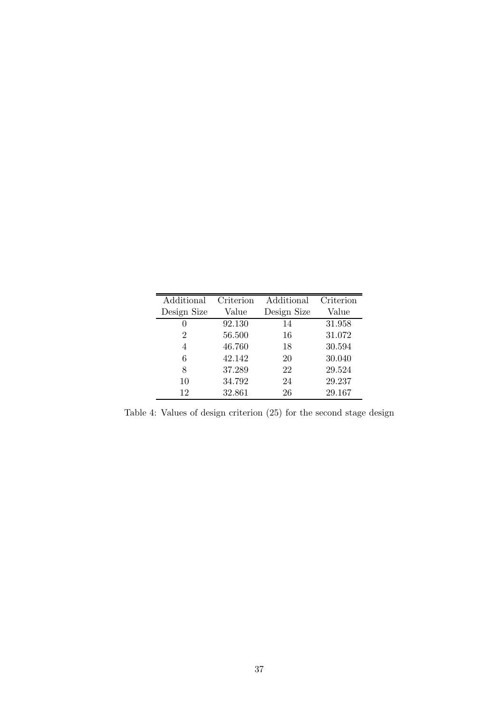| Additional     | Criterion | Additional  | Criterion |
|----------------|-----------|-------------|-----------|
| Design Size    | Value     | Design Size | Value     |
| 0              | 92.130    | 14          | 31.958    |
| $\overline{2}$ | 56.500    | 16          | 31.072    |
| 4              | 46.760    | 18          | 30.594    |
| 6              | 42.142    | 20          | 30.040    |
| 8              | 37.289    | 22          | 29.524    |
| 10             | 34.792    | 24          | 29.237    |
| 12             | 32.861    | 26          | 29.167    |

Table 4: Values of design criterion (25) for the second stage design